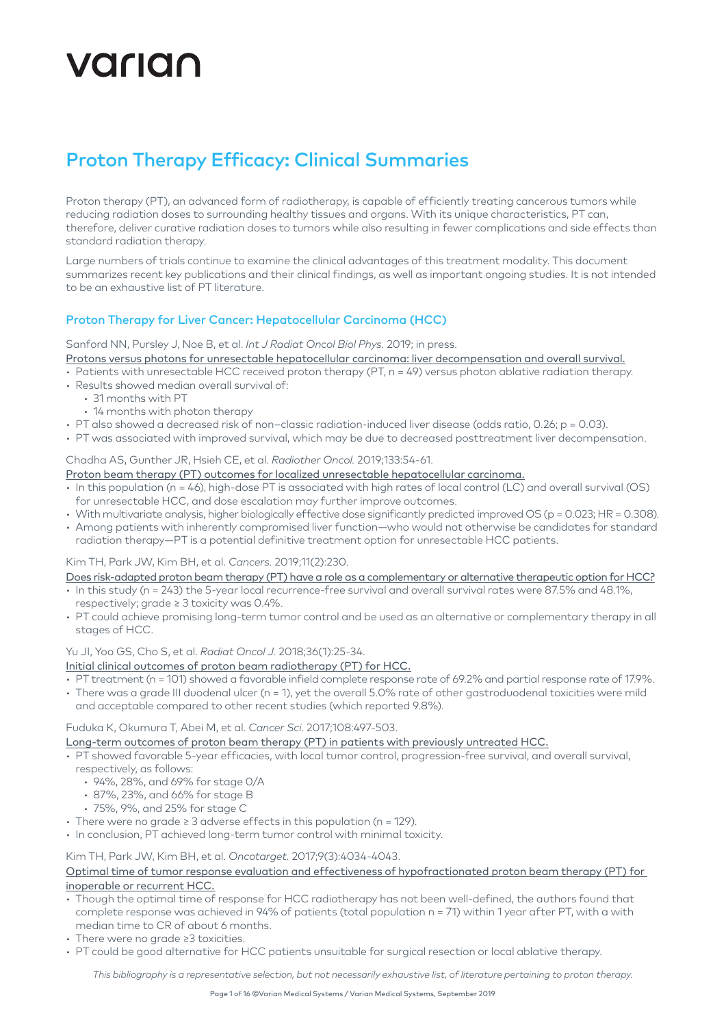# VALIAN

## Proton Therapy Efficacy: Clinical Summaries

Proton therapy (PT), an advanced form of radiotherapy, is capable of efficiently treating cancerous tumors while reducing radiation doses to surrounding healthy tissues and organs. With its unique characteristics, PT can, therefore, deliver curative radiation doses to tumors while also resulting in fewer complications and side effects than standard radiation therapy.

Large numbers of trials continue to examine the clinical advantages of this treatment modality. This document summarizes recent key publications and their clinical findings, as well as important ongoing studies. It is not intended to be an exhaustive list of PT literature.

## Proton Therapy for Liver Cancer: Hepatocellular Carcinoma (HCC)

Sanford NN, Pursley J, Noe B, et al. *Int J Radiat Oncol Biol Phys.* 2019; in press.

[Protons versus photons for unresectable hepatocellular carcinoma: liver decompensation and overall survival.](https://www.redjournal.org/article/S0360-3016(19)30158-0/pdf)

- Patients with unresectable HCC received proton therapy (PT, n = 49) versus photon ablative radiation therapy. • Results showed median overall survival of:
- 31 months with PT
- 14 months with photon therapy
- PT also showed a decreased risk of non–classic radiation-induced liver disease (odds ratio, 0.26; p = 0.03).
- PT was associated with improved survival, which may be due to decreased posttreatment liver decompensation.

#### Chadha AS, Gunther JR, Hsieh CE, et al. *Radiother Oncol.* 2019;133:54-61.

[Proton beam therapy \(PT\) outcomes for localized unresectable hepatocellular carcinoma.](https://www.thegreenjournal.com/article/S0167-8140(18)33672-7/fulltext)

- $\cdot$  In this population (n = 46), high-dose PT is associated with high rates of local control (LC) and overall survival (OS) for unresectable HCC, and dose escalation may further improve outcomes.
- With multivariate analysis, higher biologically effective dose significantly predicted improved OS (p = 0.023; HR = 0.308).
- Among patients with inherently compromised liver function—who would not otherwise be candidates for standard radiation therapy—PT is a potential definitive treatment option for unresectable HCC patients.

#### Kim TH, Park JW, Kim BH, et al. *Cancers.* 2019;11(2):230.

- [Does risk-adapted proton beam therapy \(PT\) have a role as a complementary or alternative therapeutic option for HCC?](https://www.mdpi.com/2072-6694/11/2/230/htm)
- In this study (n = 243) the 5-year local recurrence-free survival and overall survival rates were 87.5% and 48.1%, respectively; grade ≥ 3 toxicity was 0.4%.
- PT could achieve promising long-term tumor control and be used as an alternative or complementary therapy in all stages of HCC.

#### Yu JI, Yoo GS, Cho S, et al. *Radiat Oncol J.* 2018;36(1):25-34.

- [Initial clinical outcomes of proton beam radiotherapy \(PT\) for HCC.](https://www.ncbi.nlm.nih.gov/pubmed/29580046)
- PT treatment (n = 101) showed a favorable infield complete response rate of 69.2% and partial response rate of 17.9%.
- There was a grade III duodenal ulcer (n = 1), yet the overall 5.0% rate of other gastroduodenal toxicities were mild and acceptable compared to other recent studies (which reported 9.8%).

## Fuduka K, Okumura T, Abei M, et al. *Cancer Sci.* 2017;108:497-503.

- [Long-term outcomes of proton beam therapy \(PT\) in patients with previously untreated HCC.](https://www.ncbi.nlm.nih.gov/pmc/articles/PMC5378259/pdf/CAS-108-497.pdf)
- PT showed favorable 5-year efficacies, with local tumor control, progression-free survival, and overall survival,
- respectively, as follows:
	- 94%, 28%, and 69% for stage 0/A
	- 87%, 23%, and 66% for stage B
	- 75%, 9%, and 25% for stage C
- There were no grade ≥ 3 adverse effects in this population (n = 129).
- In conclusion, PT achieved long-term tumor control with minimal toxicity.

## Kim TH, Park JW, Kim BH, et al. *Oncotarget.* 2017;9(3):4034-4043.

## [Optimal time of tumor response evaluation and effectiveness of hypofractionated proton beam therapy \(PT\) for](https://www.ncbi.nlm.nih.gov/pubmed/29423102)  [inoperable or recurrent HCC.](https://www.ncbi.nlm.nih.gov/pubmed/29423102)

- Though the optimal time of response for HCC radiotherapy has not been well-defined, the authors found that complete response was achieved in 94% of patients (total population n = 71) within 1 year after PT, with a with median time to CR of about 6 months.
- There were no grade ≥3 toxicities.
- PT could be good alternative for HCC patients unsuitable for surgical resection or local ablative therapy.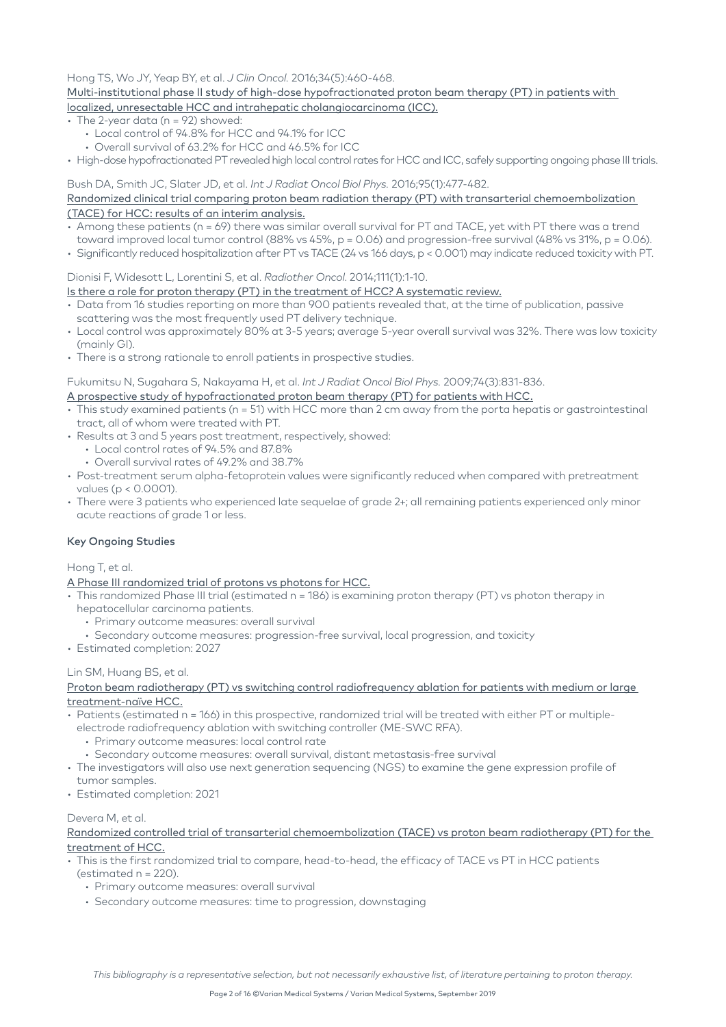#### Hong TS, Wo JY, Yeap BY, et al. *J Clin Oncol.* 2016;34(5):460-468.

#### [Multi-institutional phase II study of high-dose hypofractionated proton beam therapy \(PT\) in patients with](https://www.ncbi.nlm.nih.gov/pubmed/26668346)  [localized, unresectable HCC and intrahepatic cholangiocarcinoma \(ICC\).](https://www.ncbi.nlm.nih.gov/pubmed/26668346)

- The 2-year data (n = 92) showed:
	- Local control of 94.8% for HCC and 94.1% for ICC
	- Overall survival of 63.2% for HCC and 46.5% for ICC
- High-dose hypofractionated PT revealed high local control rates for HCC and ICC, safely supporting ongoing phase III trials.

#### Bush DA, Smith JC, Slater JD, et al. *Int J Radiat Oncol Biol Phys.* 2016;95(1):477-482.

#### [Randomized clinical trial comparing proton beam radiation therapy \(PT\) with transarterial chemoembolization](https://www.ncbi.nlm.nih.gov/pubmed/27084661)  [\(TACE\) for HCC: results of an interim analysis.](https://www.ncbi.nlm.nih.gov/pubmed/27084661)

- $\cdot$  Among these patients (n = 69) there was similar overall survival for PT and TACE, yet with PT there was a trend
- toward improved local tumor control (88% vs 45%,  $p = 0.06$ ) and progression-free survival (48% vs 31%,  $p = 0.06$ ).
- Significantly reduced hospitalization after PT vs TACE (24 vs 166 days, p < 0.001) may indicate reduced toxicity with PT.

#### Dionisi F, Widesott L, Lorentini S, et al. *Radiother Oncol*. 2014;111(1):1-10.

#### [Is there a role for proton therapy \(PT\) in the treatment of HCC? A systematic review.](https://www.ncbi.nlm.nih.gov/pubmed/24560761)

- Data from 16 studies reporting on more than 900 patients revealed that, at the time of publication, passive scattering was the most frequently used PT delivery technique.
- Local control was approximately 80% at 3-5 years; average 5-year overall survival was 32%. There was low toxicity (mainly GI).
- There is a strong rationale to enroll patients in prospective studies.

#### Fukumitsu N, Sugahara S, Nakayama H, et al. *Int J Radiat Oncol Biol Phys.* 2009;74(3):831-836.

#### [A prospective study of hypofractionated proton beam therapy \(PT\) for patients with HCC.](https://www.ncbi.nlm.nih.gov/pubmed/19304408)

- This study examined patients (n = 51) with HCC more than 2 cm away from the porta hepatis or gastrointestinal tract, all of whom were treated with PT.
- Results at 3 and 5 years post treatment, respectively, showed:
	- Local control rates of 94.5% and 87.8%
	- Overall survival rates of 49.2% and 38.7%
- Post-treatment serum alpha-fetoprotein values were significantly reduced when compared with pretreatment values (p < 0.0001).
- There were 3 patients who experienced late sequelae of grade 2+; all remaining patients experienced only minor acute reactions of grade 1 or less.

#### Key Ongoing Studies

#### Hong T, et al.

#### [A Phase III randomized trial of protons vs photons for HCC.](https://clinicaltrials.gov/ct2/show/NCT03186898?term=03186898&rank=1)

- This randomized Phase III trial (estimated n = 186) is examining proton therapy (PT) vs photon therapy in hepatocellular carcinoma patients.
	- Primary outcome measures: overall survival
	- Secondary outcome measures: progression-free survival, local progression, and toxicity
- Estimated completion: 2027

#### Lin SM, Huang BS, et al.

#### [Proton beam radiotherapy \(PT\) vs switching control radiofrequency ablation for patients with medium or large](https://clinicaltrials.gov/ct2/show/NCT02640924)  [treatment-naïve HCC.](https://clinicaltrials.gov/ct2/show/NCT02640924)

- Patients (estimated n = 166) in this prospective, randomized trial will be treated with either PT or multiple
	- electrode radiofrequency ablation with switching controller (ME-SWC RFA).
		- Primary outcome measures: local control rate
		- Secondary outcome measures: overall survival, distant metastasis-free survival
- The investigators will also use next generation sequencing (NGS) to examine the gene expression profile of tumor samples.
- Estimated completion: 2021

#### Devera M, et al.

[Randomized controlled trial of transarterial chemoembolization \(TACE\) vs proton beam radiotherapy \(PT\) for the](https://clinicaltrials.gov/ct2/show/NCT00857805)  [treatment of HCC.](https://clinicaltrials.gov/ct2/show/NCT00857805)

- This is the first randomized trial to compare, head-to-head, the efficacy of TACE vs PT in HCC patients
	- (estimated n = 220).
	- Primary outcome measures: overall survival
	- Secondary outcome measures: time to progression, downstaging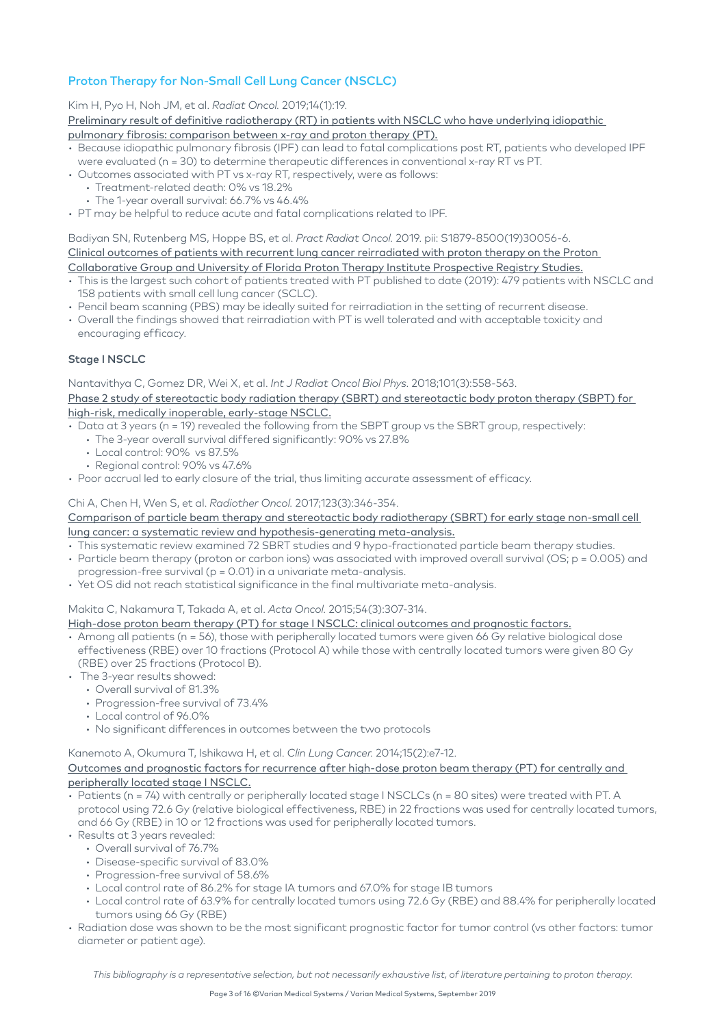## Proton Therapy for Non-Small Cell Lung Cancer (NSCLC)

Kim H, Pyo H, Noh JM, et al. *Radiat Oncol.* 2019;14(1):19.

[Preliminary result of definitive radiotherapy \(RT\) in patients with NSCLC who have underlying idiopathic](https://www.ncbi.nlm.nih.gov/pubmed/30691496) 

- [pulmonary fibrosis: comparison between x-ray and proton therapy \(PT\).](https://www.ncbi.nlm.nih.gov/pubmed/30691496)
- Because idiopathic pulmonary fibrosis (IPF) can lead to fatal complications post RT, patients who developed IPF were evaluated (n = 30) to determine therapeutic differences in conventional x-ray RT vs PT.
- Outcomes associated with PT vs x-ray RT, respectively, were as follows:
	- Treatment-related death: 0% vs 18.2%
	- The 1-year overall survival: 66.7% vs 46.4%
- PT may be helpful to reduce acute and fatal complications related to IPF.

Badiyan SN, Rutenberg MS, Hoppe BS, et al. *Pract Radiat Oncol.* 2019. pii: S1879-8500(19)30056-6. [Clinical outcomes of patients with recurrent lung cancer reirradiated with proton therapy on the Proton](https://www.ncbi.nlm.nih.gov/pubmed/30802618)  [Collaborative Group and University of Florida Proton Therapy Institute Prospective Registry Studies.](https://www.ncbi.nlm.nih.gov/pubmed/30802618)

- This is the largest such cohort of patients treated with PT published to date (2019): 479 patients with NSCLC and 158 patients with small cell lung cancer (SCLC).
- Pencil beam scanning (PBS) may be ideally suited for reirradiation in the setting of recurrent disease.
- Overall the findings showed that reirradiation with PT is well tolerated and with acceptable toxicity and encouraging efficacy.

## Stage I NSCLC

Nantavithya C, Gomez DR, Wei X, et al. *Int J Radiat Oncol Biol Phys.* 2018;101(3):558-563.

[Phase 2 study of stereotactic body radiation therapy \(SBRT\) and stereotactic body proton therapy \(SBPT\) for](https://www.ncbi.nlm.nih.gov/pubmed/29680255)  [high-risk, medically inoperable, early-stage NSCLC.](https://www.ncbi.nlm.nih.gov/pubmed/29680255)

• Data at 3 years (n = 19) revealed the following from the SBPT group vs the SBRT group, respectively:

- The 3-year overall survival differed significantly: 90% vs 27.8%
	- Local control: 90% vs 87.5%
- Regional control: 90% vs 47.6%
- Poor accrual led to early closure of the trial, thus limiting accurate assessment of efficacy.

#### Chi A, Chen H, Wen S, et al. *Radiother Oncol.* 2017;123(3):346-354.

#### [Comparison of particle beam therapy and stereotactic body radiotherapy \(SBRT\) for early stage non-small cell](https://www.ncbi.nlm.nih.gov/pmc/articles/PMC5568119/pdf/nihms893777.pdf)  [lung cancer: a systematic review and hypothesis-generating meta-analysis.](https://www.ncbi.nlm.nih.gov/pmc/articles/PMC5568119/pdf/nihms893777.pdf)

- This systematic review examined 72 SBRT studies and 9 hypo-fractionated particle beam therapy studies.
- Particle beam therapy (proton or carbon ions) was associated with improved overall survival (OS; p = 0.005) and progression-free survival (p = 0.01) in a univariate meta-analysis.
- Yet OS did not reach statistical significance in the final multivariate meta-analysis.

#### Makita C, Nakamura T, Takada A, et al. *Acta Oncol.* 2015;54(3):307-314.

#### [High-dose proton beam therapy \(PT\) for stage I NSCLC: clinical outcomes and prognostic factors.](https://www.ncbi.nlm.nih.gov/pubmed/25291076)

- Among all patients (n = 56), those with peripherally located tumors were given 66 Gy relative biological dose effectiveness (RBE) over 10 fractions (Protocol A) while those with centrally located tumors were given 80 Gy (RBE) over 25 fractions (Protocol B).
- The 3-year results showed:
	- Overall survival of 81.3%
	- Progression-free survival of 73.4%
	- Local control of 96.0%
	- No significant differences in outcomes between the two protocols

#### Kanemoto A, Okumura T, Ishikawa H, et al. *Clin Lung Cancer.* 2014;15(2):e7-12.

#### [Outcomes and prognostic factors for recurrence after high-dose proton beam therapy \(PT\) for centrally and](https://www.ncbi.nlm.nih.gov/pubmed/24365049)  [peripherally located stage I NSCLC.](https://www.ncbi.nlm.nih.gov/pubmed/24365049)

- Patients (n = 74) with centrally or peripherally located stage I NSCLCs (n = 80 sites) were treated with PT. A protocol using 72.6 Gy (relative biological effectiveness, RBE) in 22 fractions was used for centrally located tumors, and 66 Gy (RBE) in 10 or 12 fractions was used for peripherally located tumors.
- Results at 3 years revealed:
	- Overall survival of 76.7%
	- Disease-specific survival of 83.0%
	- Progression-free survival of 58.6%
	- Local control rate of 86.2% for stage IA tumors and 67.0% for stage IB tumors
	- Local control rate of 63.9% for centrally located tumors using 72.6 Gy (RBE) and 88.4% for peripherally located tumors using 66 Gy (RBE)
- Radiation dose was shown to be the most significant prognostic factor for tumor control (vs other factors: tumor diameter or patient age).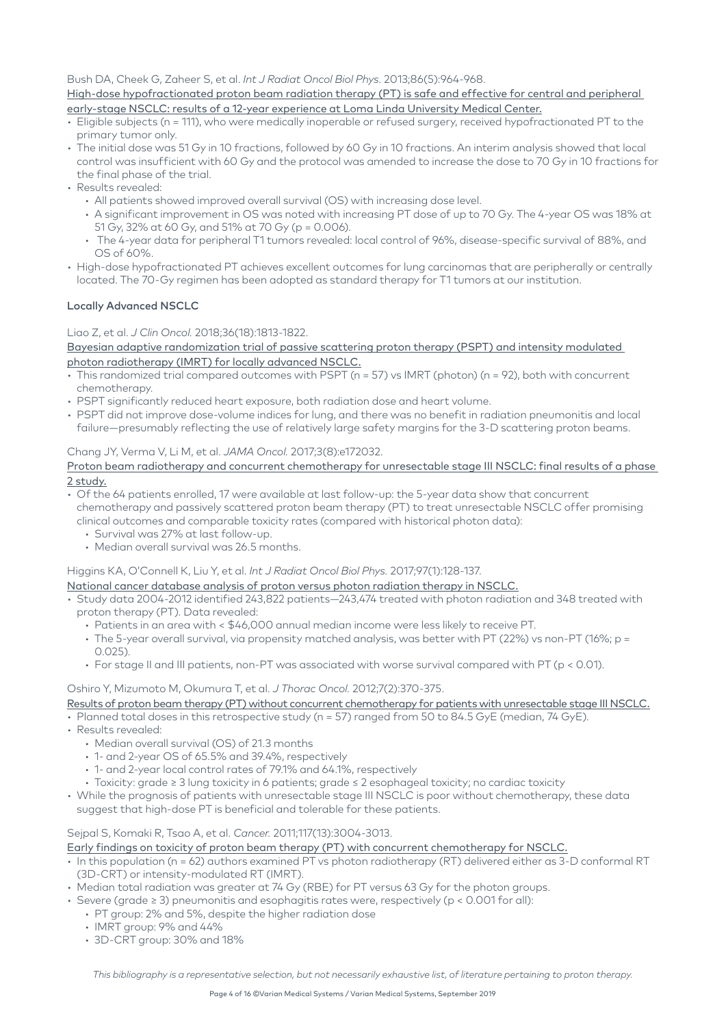Bush DA, Cheek G, Zaheer S, et al. *Int J Radiat Oncol Biol Phys.* 2013;86(5):964-968.

[High-dose hypofractionated proton beam radiation therapy \(PT\) is safe and effective for central and peripheral](https://www.ncbi.nlm.nih.gov/pubmed/23845845)  [early-stage NSCLC: results of a 12-year experience at Loma Linda University Medical Center.](https://www.ncbi.nlm.nih.gov/pubmed/23845845)

- Eligible subjects (n = 111), who were medically inoperable or refused surgery, received hypofractionated PT to the primary tumor only.
- The initial dose was 51 Gy in 10 fractions, followed by 60 Gy in 10 fractions. An interim analysis showed that local control was insufficient with 60 Gy and the protocol was amended to increase the dose to 70 Gy in 10 fractions for the final phase of the trial.
- Results revealed:
	- All patients showed improved overall survival (OS) with increasing dose level.
	- A significant improvement in OS was noted with increasing PT dose of up to 70 Gy. The 4-year OS was 18% at 51 Gy, 32% at 60 Gy, and 51% at 70 Gy (p = 0.006).
	- The 4-year data for peripheral T1 tumors revealed: local control of 96%, disease-specific survival of 88%, and OS of 60%.
- High-dose hypofractionated PT achieves excellent outcomes for lung carcinomas that are peripherally or centrally located. The 70-Gy regimen has been adopted as standard therapy for T1 tumors at our institution.

## Locally Advanced NSCLC

#### Liao Z, et al. *J Clin Oncol.* 2018;36(18):1813-1822.

[Bayesian adaptive randomization trial of passive scattering proton therapy \(PSPT\) and intensity modulated](https://www.ncbi.nlm.nih.gov/pubmed/29293386)  [photon radiotherapy \(IMRT\) for locally advanced NSCLC.](https://www.ncbi.nlm.nih.gov/pubmed/29293386)

- This randomized trial compared outcomes with PSPT (n = 57) vs IMRT (photon) (n = 92), both with concurrent chemotherapy.
- PSPT significantly reduced heart exposure, both radiation dose and heart volume.
- PSPT did not improve dose-volume indices for lung, and there was no benefit in radiation pneumonitis and local failure—presumably reflecting the use of relatively large safety margins for the 3-D scattering proton beams.

#### Chang JY, Verma V, Li M, et al. *JAMA Oncol.* 2017;3(8):e172032.

- Of the 64 patients enrolled, 17 were available at last follow-up: the 5-year data show that concurrent chemotherapy and passively scattered proton beam therapy (PT) to treat unresectable NSCLC offer promising clinical outcomes and comparable toxicity rates (compared with historical photon data):
	- Survival was 27% at last follow-up.
	- Median overall survival was 26.5 months.

Higgins KA, O'Connell K, Liu Y, et al. *Int J Radiat Oncol Biol Phys.* 2017;97(1):128-137.

[National cancer database analysis of proton versus photon radiation therapy in NSCLC.](https://www.ncbi.nlm.nih.gov/pubmed/27979443)

- Study data 2004-2012 identified 243,822 patients—243,474 treated with photon radiation and 348 treated with proton therapy (PT). Data revealed:
	- Patients in an area with < \$46,000 annual median income were less likely to receive PT.
	- The 5-year overall survival, via propensity matched analysis, was better with PT (22%) vs non-PT (16%; p = 0.025).
	- For stage II and III patients, non-PT was associated with worse survival compared with PT (p < 0.01).

#### Oshiro Y, Mizumoto M, Okumura T, et al. *J Thorac Oncol.* 2012;7(2):370-375.

- [Results of proton beam therapy \(PT\) without concurrent chemotherapy for patients with unresectable stage III NSCLC.](https://www.ncbi.nlm.nih.gov/pubmed/22157368)
- Planned total doses in this retrospective study (n = 57) ranged from 50 to 84.5 GyE (median, 74 GyE).
- Results revealed:
	- Median overall survival (OS) of 21.3 months
	- 1- and 2-year OS of 65.5% and 39.4%, respectively
	- 1- and 2-year local control rates of 79.1% and 64.1%, respectively
	- Toxicity: grade ≥ 3 lung toxicity in 6 patients; grade ≤ 2 esophageal toxicity; no cardiac toxicity
- While the prognosis of patients with unresectable stage III NSCLC is poor without chemotherapy, these data suggest that high-dose PT is beneficial and tolerable for these patients.

## Sejpal S, Komaki R, Tsao A, et al. *Cancer.* 2011;117(13):3004-3013.

#### [Early findings on toxicity of proton beam therapy \(PT\) with concurrent chemotherapy for NSCLC.](https://www.ncbi.nlm.nih.gov/pubmed/21264827)

- In this population (n = 62) authors examined PT vs photon radiotherapy (RT) delivered either as 3-D conformal RT (3D-CRT) or intensity-modulated RT (IMRT).
- Median total radiation was greater at 74 Gy (RBE) for PT versus 63 Gy for the photon groups.
- Severe (grade ≥ 3) pneumonitis and esophagitis rates were, respectively (p < 0.001 for all):
	- PT group: 2% and 5%, despite the higher radiation dose
		- IMRT group: 9% and 44%
		- 3D-CRT group: 30% and 18%

[Proton beam radiotherapy and concurrent chemotherapy for unresectable stage III NSCLC: final results of a phase](https://www.ncbi.nlm.nih.gov/pubmed/28727865)  [2 study.](https://www.ncbi.nlm.nih.gov/pubmed/28727865)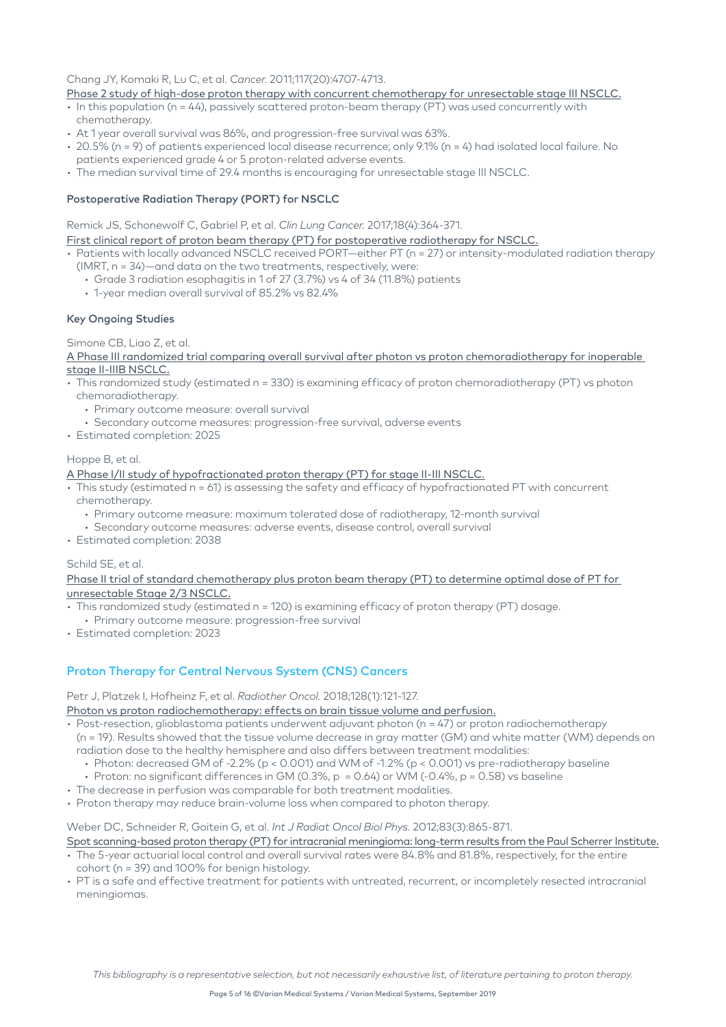## Chang JY, Komaki R, Lu C, et al. *Cancer.* 2011;117(20):4707-4713.

#### [Phase 2 study of high-dose proton therapy with concurrent chemotherapy for unresectable stage III NSCLC.](https://www.ncbi.nlm.nih.gov/pubmed/21437893)

- In this population (n = 44), passively scattered proton-beam therapy (PT) was used concurrently with chemotherapy.
- At 1 year overall survival was 86%, and progression-free survival was 63%.
- 20.5% (n = 9) of patients experienced local disease recurrence; only 9.1% (n = 4) had isolated local failure. No patients experienced grade 4 or 5 proton-related adverse events.
- The median survival time of 29.4 months is encouraging for unresectable stage III NSCLC.

#### Postoperative Radiation Therapy (PORT) for NSCLC

Remick JS, Schonewolf C, Gabriel P, et al. *Clin Lung Cancer.* 2017;18(4):364-371.

#### [First clinical report of proton beam therapy \(PT\) for postoperative radiotherapy for NSCLC.](https://www.ncbi.nlm.nih.gov/pubmed/28162946)

- Patients with locally advanced NSCLC received PORT—either PT (n = 27) or intensity-modulated radiation therapy (IMRT, n = 34)—and data on the two treatments, respectively, were:
	- Grade 3 radiation esophagitis in 1 of 27 (3.7%) vs 4 of 34 (11.8%) patients
	- 1-year median overall survival of 85.2% vs 82.4%

#### Key Ongoing Studies

Simone CB, Liao Z, et al.

[A Phase III randomized trial comparing overall survival after photon vs proton chemoradiotherapy for inoperable](https://clinicaltrials.gov/ct2/show/NCT01993810)  [stage II-IIIB NSCLC.](https://clinicaltrials.gov/ct2/show/NCT01993810)

- This randomized study (estimated n = 330) is examining efficacy of proton chemoradiotherapy (PT) vs photon chemoradiotherapy.
	- Primary outcome measure: overall survival
- Secondary outcome measures: progression-free survival, adverse events
- Estimated completion: 2025

#### Hoppe B, et al.

[A Phase I/II study of hypofractionated proton therapy \(PT\) for stage II-III NSCLC.](https://clinicaltrials.gov/ct2/show/NCT01770418)

- This study (estimated n = 61) is assessing the safety and efficacy of hypofractionated PT with concurrent chemotherapy.
	- Primary outcome measure: maximum tolerated dose of radiotherapy, 12-month survival
	- Secondary outcome measures: adverse events, disease control, overall survival
- Estimated completion: 2038

#### Schild SE, et al.

[Phase II trial of standard chemotherapy plus proton beam therapy \(PT\) to determine optimal dose of PT for](https://clinicaltrials.gov/ct2/show/NCT03132532)  [unresectable Stage 2/3 NSCLC.](https://clinicaltrials.gov/ct2/show/NCT03132532)

- This randomized study (estimated n = 120) is examining efficacy of proton therapy (PT) dosage.
- Primary outcome measure: progression-free survival
- Estimated completion: 2023

## Proton Therapy for Central Nervous System (CNS) Cancers

Petr J, Platzek I, Hofheinz F, et al. *Radiother Oncol.* 2018;128(1):121-127.

[Photon vs proton radiochemotherapy: effects on brain tissue volume and perfusion.](https://www.ncbi.nlm.nih.gov/pubmed/29370984)

- Post-resection, glioblastoma patients underwent adjuvant photon (n = 47) or proton radiochemotherapy (n = 19). Results showed that the tissue volume decrease in gray matter (GM) and white matter (WM) depends on
	- radiation dose to the healthy hemisphere and also differs between treatment modalities:
	- Photon: decreased GM of -2.2% (p < 0.001) and WM of -1.2% (p < 0.001) vs pre-radiotherapy baseline
	- Proton: no significant differences in GM (0.3%,  $p = 0.64$ ) or WM (-0.4%,  $p = 0.58$ ) vs baseline
- The decrease in perfusion was comparable for both treatment modalities.
- Proton therapy may reduce brain-volume loss when compared to photon therapy.

## Weber DC, Schneider R, Goitein G, et al. *Int J Radiat Oncol Biol Phys.* 2012;83(3):865-871.

#### [Spot scanning-based proton therapy \(PT\) for intracranial meningioma: long-term results from the Paul Scherrer Institute.](https://www.ncbi.nlm.nih.gov/pubmed/22138457) • The 5-year actuarial local control and overall survival rates were 84.8% and 81.8%, respectively, for the entire

- cohort (n = 39) and 100% for benign histology.
- PT is a safe and effective treatment for patients with untreated, recurrent, or incompletely resected intracranial meningiomas.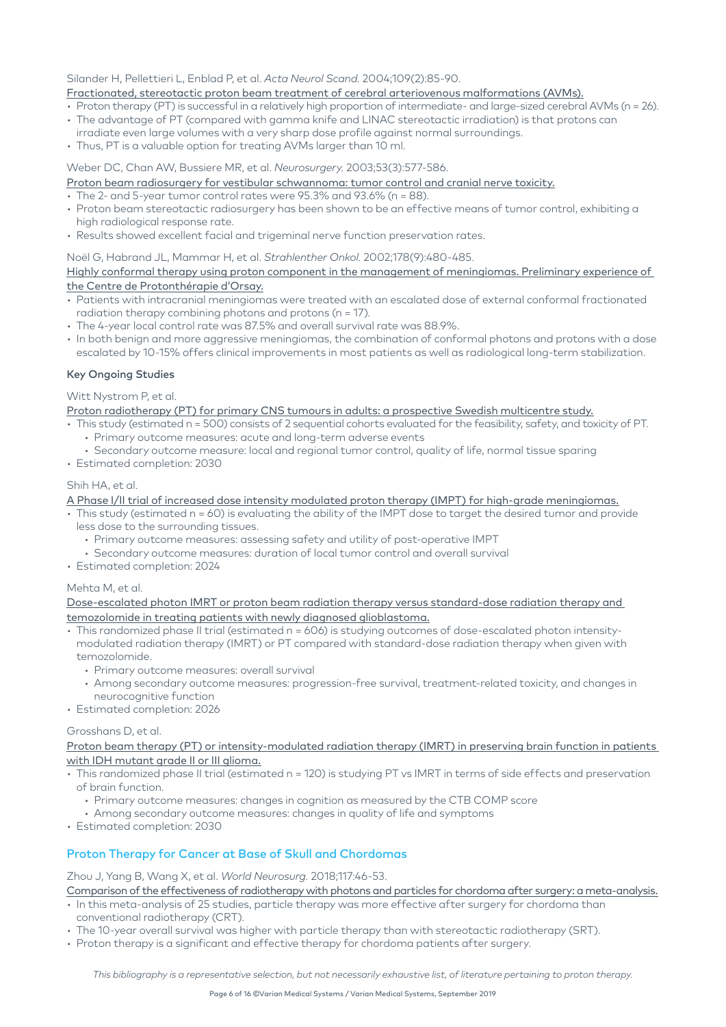#### Silander H, Pellettieri L, Enblad P, et al. *Acta Neurol Scand.* 2004;109(2):85-90.

#### [Fractionated, stereotactic proton beam treatment of cerebral arteriovenous malformations \(AVMs\).](https://www.ncbi.nlm.nih.gov/pubmed/14705968)

- Proton therapy (PT) is successful in a relatively high proportion of intermediate- and large-sized cerebral AVMs (n = 26).
- The advantage of PT (compared with gamma knife and LINAC stereotactic irradiation) is that protons can
- irradiate even large volumes with a very sharp dose profile against normal surroundings.
- Thus, PT is a valuable option for treating AVMs larger than 10 ml.

#### Weber DC, Chan AW, Bussiere MR, et al. *Neurosurgery.* 2003;53(3):577-586.

#### [Proton beam radiosurgery for vestibular schwannoma: tumor control and cranial nerve toxicity.](https://www.ncbi.nlm.nih.gov/pubmed/12943574)

- $\cdot$  The 2- and 5-year tumor control rates were 95.3% and 93.6% (n = 88).
- Proton beam stereotactic radiosurgery has been shown to be an effective means of tumor control, exhibiting a high radiological response rate.
- Results showed excellent facial and trigeminal nerve function preservation rates.

Noël G, Habrand JL, Mammar H, et al. *Strahlenther Onkol.* 2002;178(9):480-485.

#### [Highly conformal therapy using proton component in the management of meningiomas. Preliminary experience of](https://www.ncbi.nlm.nih.gov/pubmed/12426833)  [the Centre de Protonthérapie d'Orsay.](https://www.ncbi.nlm.nih.gov/pubmed/12426833)

- Patients with intracranial meningiomas were treated with an escalated dose of external conformal fractionated radiation therapy combining photons and protons (n = 17).
- The 4-year local control rate was 87.5% and overall survival rate was 88.9%.
- In both benign and more aggressive meningiomas, the combination of conformal photons and protons with a dose escalated by 10-15% offers clinical improvements in most patients as well as radiological long-term stabilization.

#### Key Ongoing Studies

#### Witt Nystrom P, et al.

[Proton radiotherapy \(PT\) for primary CNS tumours in adults: a prospective Swedish multicentre study.](https://www.clinicaltrials.gov/ct2/show/study/NCT02797366)

- This study (estimated n = 500) consists of 2 sequential cohorts evaluated for the feasibility, safety, and toxicity of PT. • Primary outcome measures: acute and long-term adverse events
- Secondary outcome measure: local and regional tumor control, quality of life, normal tissue sparing
- Estimated completion: 2030

#### Shih HA, et al.

#### [A Phase I/II trial of increased dose intensity modulated proton therapy \(IMPT\) for high-grade meningiomas.](https://clinicaltrials.gov/ct2/show/NCT02693990)

- This study (estimated n = 60) is evaluating the ability of the IMPT dose to target the desired tumor and provide less dose to the surrounding tissues.
	- Primary outcome measures: assessing safety and utility of post-operative IMPT
	- Secondary outcome measures: duration of local tumor control and overall survival
- Estimated completion: 2024

#### Mehta M, et al.

[Dose-escalated photon IMRT or proton beam radiation therapy versus standard-dose radiation therapy and](https://clinicaltrials.gov/ct2/show/NCT02179086)  [temozolomide in treating patients with newly diagnosed glioblastoma.](https://clinicaltrials.gov/ct2/show/NCT02179086)

- This randomized phase II trial (estimated n = 606) is studying outcomes of dose-escalated photon intensitymodulated radiation therapy (IMRT) or PT compared with standard-dose radiation therapy when given with temozolomide.
	- Primary outcome measures: overall survival
	- Among secondary outcome measures: progression-free survival, treatment-related toxicity, and changes in neurocognitive function
- Estimated completion: 2026

#### Grosshans D, et al.

[Proton beam therapy \(PT\) or intensity-modulated radiation therapy \(IMRT\) in preserving brain function in patients](https://clinicaltrials.gov/ct2/show/NCT03180502)  [with IDH mutant grade II or III glioma.](https://clinicaltrials.gov/ct2/show/NCT03180502)

- This randomized phase II trial (estimated n = 120) is studying PT vs IMRT in terms of side effects and preservation of brain function.
	- Primary outcome measures: changes in cognition as measured by the CTB COMP score
	- Among secondary outcome measures: changes in quality of life and symptoms
- Estimated completion: 2030

## Proton Therapy for Cancer at Base of Skull and Chordomas

Zhou J, Yang B, Wang X, et al. *World Neurosurg.* 2018;117:46-53.

[Comparison of the effectiveness of radiotherapy with photons and particles for chordoma after surgery: a meta-analysis.](https://www.ncbi.nlm.nih.gov/pubmed/29879512)

- In this meta-analysis of 25 studies, particle therapy was more effective after surgery for chordoma than conventional radiotherapy (CRT).
- The 10-year overall survival was higher with particle therapy than with stereotactic radiotherapy (SRT).
- Proton therapy is a significant and effective therapy for chordoma patients after surgery.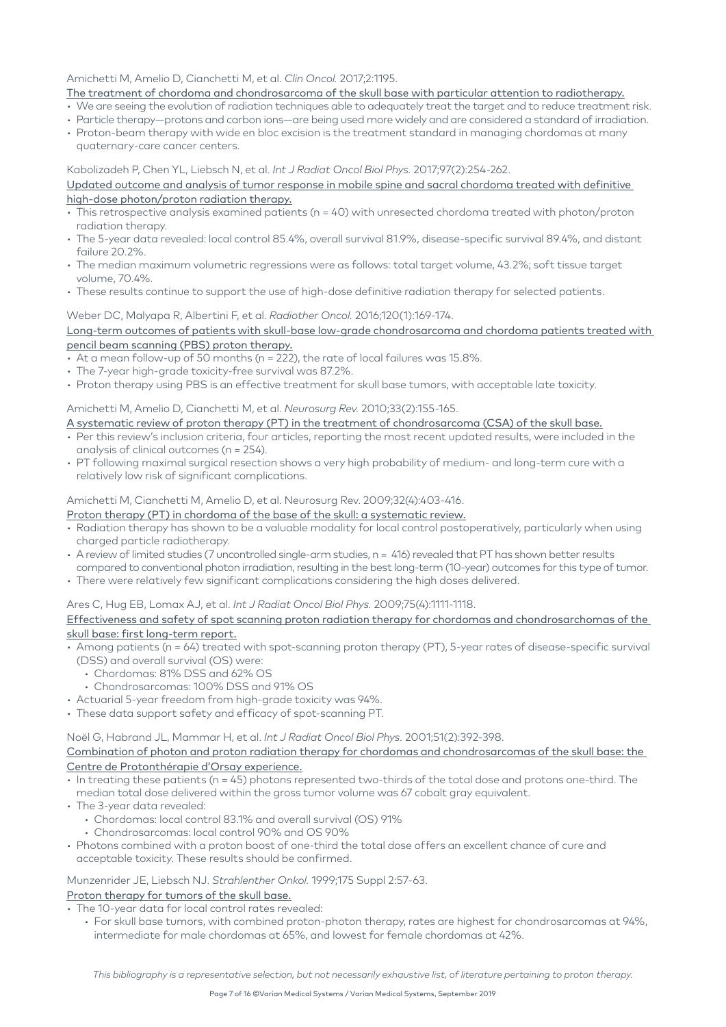#### Amichetti M, Amelio D, Cianchetti M, et al. *Clin Oncol.* 2017;2:1195.

- [The treatment of chordoma and chondrosarcoma of the skull base with particular attention to radiotherapy.](http://www.clinicsinoncology.com/pdfs_folder/cio-v2-id1195.pdf)
- We are seeing the evolution of radiation techniques able to adequately treat the target and to reduce treatment risk.
- Particle therapy—protons and carbon ions—are being used more widely and are considered a standard of irradiation.
- Proton-beam therapy with wide en bloc excision is the treatment standard in managing chordomas at many quaternary-care cancer centers.

#### Kabolizadeh P, Chen YL, Liebsch N, et al. *Int J Radiat Oncol Biol Phys.* 2017;97(2):254-262.

#### [Updated outcome and analysis of tumor response in mobile spine and sacral chordoma treated with definitive](https://www.ncbi.nlm.nih.gov/pubmed/27986348)  [high-dose photon/proton radiation therapy.](https://www.ncbi.nlm.nih.gov/pubmed/27986348)

- This retrospective analysis examined patients (n = 40) with unresected chordoma treated with photon/proton radiation therapy.
- The 5-year data revealed: local control 85.4%, overall survival 81.9%, disease-specific survival 89.4%, and distant failure 20.2%.
- The median maximum volumetric regressions were as follows: total target volume, 43.2%; soft tissue target volume, 70.4%.
- These results continue to support the use of high-dose definitive radiation therapy for selected patients.

#### Weber DC, Malyapa R, Albertini F, et al. *Radiother Oncol.* 2016;120(1):169-174.

[Long-term outcomes of patients with skull-base low-grade chondrosarcoma and chordoma patients treated with](https://ac.els-cdn.com/S0167814016311148/1-s2.0-S0167814016311148-main.pdf?_tid=6bc5545f-ab3b-408d-87f6-d5d49f0f8526&acdnat=1550006084_4adbb046ab381da9b4151380de990bc1)  [pencil beam scanning \(PBS\) proton therapy.](https://ac.els-cdn.com/S0167814016311148/1-s2.0-S0167814016311148-main.pdf?_tid=6bc5545f-ab3b-408d-87f6-d5d49f0f8526&acdnat=1550006084_4adbb046ab381da9b4151380de990bc1)

- At a mean follow-up of 50 months (n = 222), the rate of local failures was 15.8%.
- The 7-year high-grade toxicity-free survival was 87.2%.
- Proton therapy using PBS is an effective treatment for skull base tumors, with acceptable late toxicity.

#### Amichetti M, Amelio D, Cianchetti M, et al. *Neurosurg Rev.* 2010;33(2):155-165.

- [A systematic review of proton therapy \(PT\) in the treatment of chondrosarcoma \(CSA\) of the skull base.](https://www.ncbi.nlm.nih.gov/pubmed/19921291)
- Per this review's inclusion criteria, four articles, reporting the most recent updated results, were included in the analysis of clinical outcomes (n = 254).
- PT following maximal surgical resection shows a very high probability of medium- and long-term cure with a relatively low risk of significant complications.

#### Amichetti M, Cianchetti M, Amelio D, et al. Neurosurg Rev. 2009;32(4):403-416.

#### [Proton therapy \(PT\) in chordoma of the base of the skull: a systematic review.](https://www.ncbi.nlm.nih.gov/pubmed/19319583)

- Radiation therapy has shown to be a valuable modality for local control postoperatively, particularly when using charged particle radiotherapy.
- A review of limited studies (7 uncontrolled single-arm studies, n = 416) revealed that PT has shown better results compared to conventional photon irradiation, resulting in the best long-term (10-year) outcomes for this type of tumor.
- There were relatively few significant complications considering the high doses delivered.

#### Ares C, Hug EB, Lomax AJ, et al. *Int J Radiat Oncol Biol Phys.* 2009;75(4):1111-1118.

#### [Effectiveness and safety of spot scanning proton radiation therapy for chordomas and chondrosarchomas of the](https://www.sciencedirect.com/science/article/pii/S0360301609000078?via%3Dihub)  [skull base: first long-term report.](https://www.sciencedirect.com/science/article/pii/S0360301609000078?via%3Dihub)

- Among patients (n = 64) treated with spot-scanning proton therapy (PT), 5-year rates of disease-specific survival (DSS) and overall survival (OS) were:
	- Chordomas: 81% DSS and 62% OS
	- Chondrosarcomas: 100% DSS and 91% OS
- Actuarial 5-year freedom from high-grade toxicity was 94%.
- These data support safety and efficacy of spot-scanning PT.

Noël G, Habrand JL, Mammar H, et al. *Int J Radiat Oncol Biol Phys.* 2001;51(2):392-398.

#### [Combination of photon and proton radiation therapy for chordomas and chondrosarcomas of the skull base: the](https://www.ncbi.nlm.nih.gov/pubmed/11567813)  [Centre de Protonthérapie d'Orsay experience.](https://www.ncbi.nlm.nih.gov/pubmed/11567813)

- In treating these patients (n = 45) photons represented two-thirds of the total dose and protons one-third. The median total dose delivered within the gross tumor volume was 67 cobalt gray equivalent.
- The 3-year data revealed:
	- Chordomas: local control 83.1% and overall survival (OS) 91%
	- Chondrosarcomas: local control 90% and OS 90%
- Photons combined with a proton boost of one-third the total dose offers an excellent chance of cure and acceptable toxicity. These results should be confirmed.

#### Munzenrider JE, Liebsch NJ. *Strahlenther Onkol.* 1999;175 Suppl 2:57-63.

#### [Proton therapy for tumors of the skull base.](https://www.ncbi.nlm.nih.gov/pubmed/10394399)

- The 10-year data for local control rates revealed:
	- For skull base tumors, with combined proton-photon therapy, rates are highest for chondrosarcomas at 94%, intermediate for male chordomas at 65%, and lowest for female chordomas at 42%.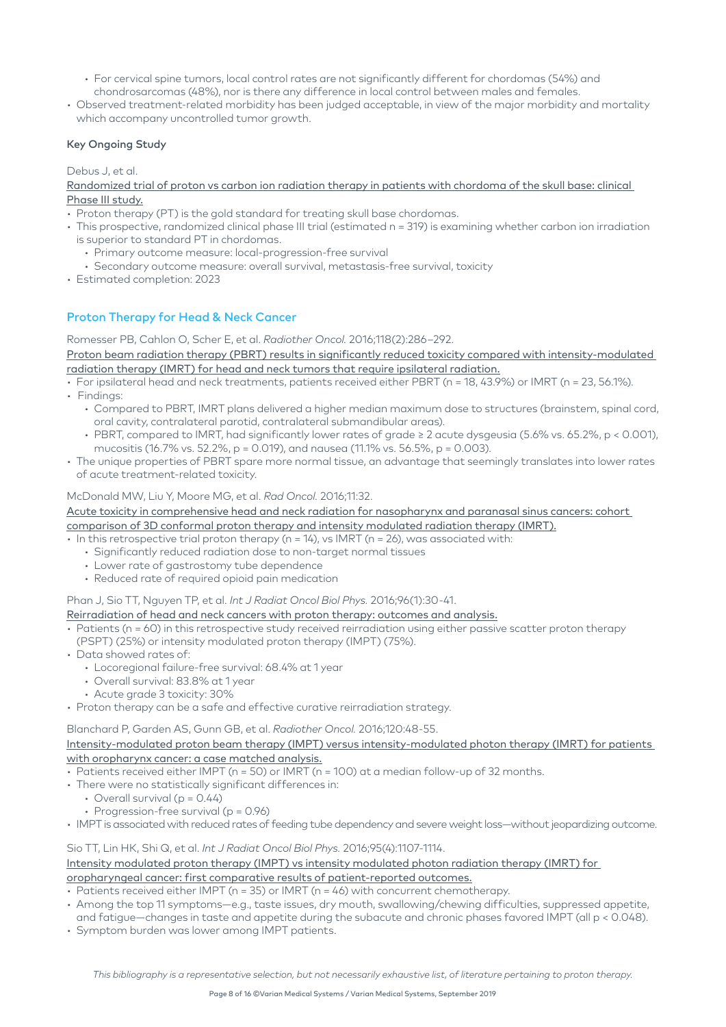- For cervical spine tumors, local control rates are not significantly different for chordomas (54%) and chondrosarcomas (48%), nor is there any difference in local control between males and females.
- Observed treatment-related morbidity has been judged acceptable, in view of the major morbidity and mortality which accompany uncontrolled tumor arowth.

#### Key Ongoing Study

Debus J, et al.

[Randomized trial of proton vs carbon ion radiation therapy in patients with chordoma of the skull base: clinical](https://clinicaltrials.gov/ct2/show/NCT01182779)  [Phase III study.](https://clinicaltrials.gov/ct2/show/NCT01182779)

- Proton therapy (PT) is the gold standard for treating skull base chordomas.
- This prospective, randomized clinical phase III trial (estimated n = 319) is examining whether carbon ion irradiation is superior to standard PT in chordomas.
	- Primary outcome measure: local-progression-free survival
	- Secondary outcome measure: overall survival, metastasis-free survival, toxicity
- Estimated completion: 2023

## Proton Therapy for Head & Neck Cancer

Romesser PB, Cahlon O, Scher E, et al. *Radiother Oncol.* 2016;118(2):286–292.

[Proton beam radiation therapy \(PBRT\) results in significantly reduced toxicity compared with intensity-modulated](https://www.ncbi.nlm.nih.gov/pmc/articles/PMC4980117/pdf/nihms803755.pdf)  [radiation therapy \(IMRT\) for head and neck tumors that require ipsilateral radiation.](https://www.ncbi.nlm.nih.gov/pmc/articles/PMC4980117/pdf/nihms803755.pdf)

- For ipsilateral head and neck treatments, patients received either PBRT (n = 18, 43.9%) or IMRT (n = 23, 56.1%).
- Findings:
	- Compared to PBRT, IMRT plans delivered a higher median maximum dose to structures (brainstem, spinal cord, oral cavity, contralateral parotid, contralateral submandibular areas).
	- PBRT, compared to IMRT, had significantly lower rates of grade ≥ 2 acute dysgeusia (5.6% vs. 65.2%, p < 0.001), mucositis (16.7% vs. 52.2%, p = 0.019), and nausea (11.1% vs. 56.5%, p = 0.003).
- The unique properties of PBRT spare more normal tissue, an advantage that seemingly translates into lower rates of acute treatment-related toxicity.

#### McDonald MW, Liu Y, Moore MG, et al. *Rad Oncol.* 2016;11:32.

[Acute toxicity in comprehensive head and neck radiation for nasopharynx and paranasal sinus cancers: cohort](https://www.ncbi.nlm.nih.gov/pmc/articles/PMC4769827/pdf/13014_2016_Article_600.pdf)  [comparison of 3D conformal proton therapy and intensity modulated radiation therapy \(IMRT\).](https://www.ncbi.nlm.nih.gov/pmc/articles/PMC4769827/pdf/13014_2016_Article_600.pdf)

• In this retrospective trial proton therapy (n = 14), vs IMRT (n = 26), was associated with:

- Significantly reduced radiation dose to non-target normal tissues
- Lower rate of gastrostomy tube dependence
- Reduced rate of required opioid pain medication

#### Phan J, Sio TT, Nguyen TP, et al. *Int J Radiat Oncol Biol Phys.* 2016;96(1):30-41.

#### [Reirradiation of head and neck cancers with proton therapy: outcomes and analysis.](https://www.ncbi.nlm.nih.gov/pubmed/27325480)

- Patients (n = 60) in this retrospective study received reirradiation using either passive scatter proton therapy (PSPT) (25%) or intensity modulated proton therapy (IMPT) (75%).
- Data showed rates of:
	- Locoregional failure-free survival: 68.4% at 1 year
	- Overall survival: 83.8% at 1 year
	- Acute grade 3 toxicity: 30%
- Proton therapy can be a safe and effective curative reirradiation strategy.

#### Blanchard P, Garden AS, Gunn GB, et al. *Radiother Oncol.* 2016;120:48-55.

#### [Intensity-modulated proton beam therapy \(IMPT\) versus intensity-modulated photon therapy \(IMRT\) for patients](https://www.sciencedirect.com/science/article/pii/S0167814016311367)  [with oropharynx cancer: a case matched analysis.](https://www.sciencedirect.com/science/article/pii/S0167814016311367)

- Patients received either IMPT (n = 50) or IMRT (n = 100) at a median follow-up of 32 months.
- There were no statistically significant differences in:
	- Overall survival ( $p = 0.44$ )
	- Progression-free survival (p = 0.96)
- IMPT is associated with reduced rates of feeding tube dependency and severe weight loss—without jeopardizing outcome.

Sio TT, Lin HK, Shi Q, et al. *Int J Radiat Oncol Biol Phys.* 2016;95(4):1107-1114. [Intensity modulated proton therapy \(IMPT\) vs intensity modulated photon radiation therapy \(IMRT\) for](https://www.sciencedirect.com/science/article/pii/S0360301616001772) 

## [oropharyngeal cancer: first comparative results of patient-reported outcomes.](https://www.sciencedirect.com/science/article/pii/S0360301616001772)

- Patients received either IMPT ( $n = 35$ ) or IMRT ( $n = 46$ ) with concurrent chemotherapy.
- Among the top 11 symptoms—e.g., taste issues, dry mouth, swallowing/chewing difficulties, suppressed appetite, and fatigue—changes in taste and appetite during the subacute and chronic phases favored IMPT (all p < 0.048).
- Symptom burden was lower among IMPT patients.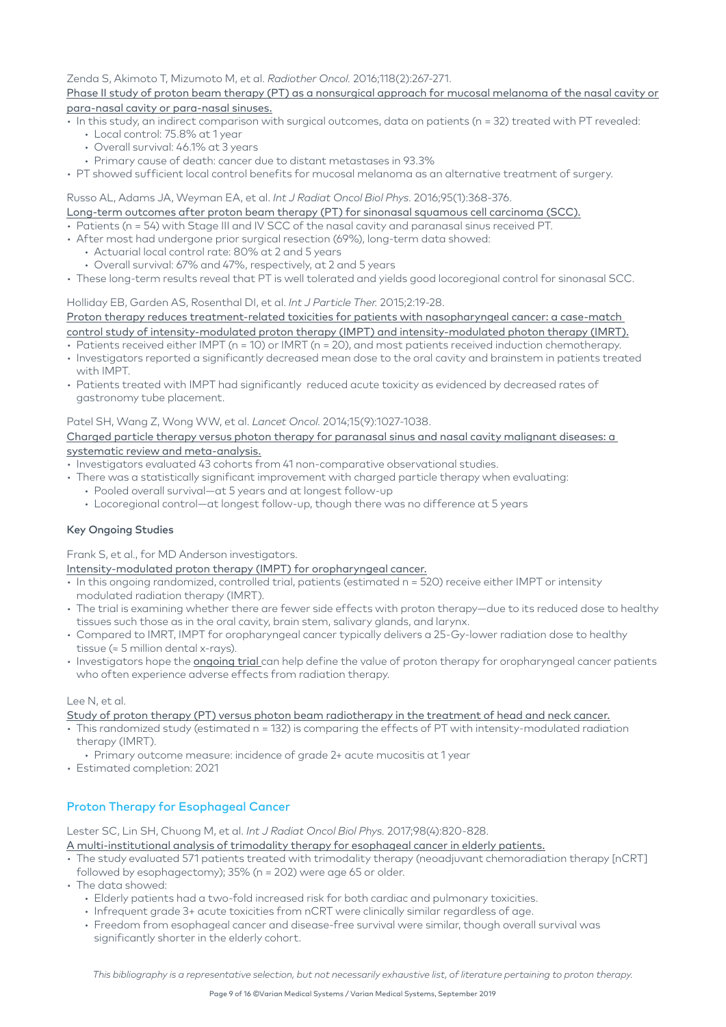#### Zenda S, Akimoto T, Mizumoto M, et al. *Radiother Oncol.* 2016;118(2):267-271. [Phase II study of proton beam therapy \(PT\) as a nonsurgical approach for mucosal melanoma of the nasal cavity or](https://www.ncbi.nlm.nih.gov/pubmed/26547102)  [para-nasal cavity or para-nasal sinuses.](https://www.ncbi.nlm.nih.gov/pubmed/26547102)

- In this study, an indirect comparison with surgical outcomes, data on patients (n = 32) treated with PT revealed:
	- Local control: 75.8% at 1 year
	- Overall survival: 46.1% at 3 years
	- Primary cause of death: cancer due to distant metastases in 93.3%
- PT showed sufficient local control benefits for mucosal melanoma as an alternative treatment of surgery.

#### Russo AL, Adams JA, Weyman EA, et al. *Int J Radiat Oncol Biol Phys.* 2016;95(1):368-376.

[Long-term outcomes after proton beam therapy \(PT\) for sinonasal squamous cell carcinoma \(SCC\).](https://www.ncbi.nlm.nih.gov/pubmed/27084654)

- Patients (n = 54) with Stage III and IV SCC of the nasal cavity and paranasal sinus received PT.
- After most had undergone prior surgical resection (69%), long-term data showed:
	- Actuarial local control rate: 80% at 2 and 5 years
	- Overall survival: 67% and 47%, respectively, at 2 and 5 years
- These long-term results reveal that PT is well tolerated and yields good locoregional control for sinonasal SCC.

Holliday EB, Garden AS, Rosenthal DI, et al. *Int J Particle Ther.* 2015;2:19-28.

## Proton therapy reduces treatment-related toxicities for patients with nasopharyngeal cancer: a case-match [control study of intensity-modulated proton therapy \(IMPT\) and intensity-modulated photon therapy \(IMRT\).](https://theijpt.org/doi/full/10.14338/IJPT-15-00011.1)

- Patients received either IMPT (n = 10) or IMRT (n = 20), and most patients received induction chemotherapy.
- Investigators reported a significantly decreased mean dose to the oral cavity and brainstem in patients treated with IMPT.
- Patients treated with IMPT had significantly reduced acute toxicity as evidenced by decreased rates of gastronomy tube placement.

#### Patel SH, Wang Z, Wong WW, et al. *Lancet Oncol.* 2014;15(9):1027-1038.

#### [Charged particle therapy versus photon therapy for paranasal sinus and nasal cavity malignant diseases: a](https://www.sciencedirect.com/science/article/abs/pii/S1470204514702682)  [systematic review and meta-analysis.](https://www.sciencedirect.com/science/article/abs/pii/S1470204514702682)

- Investigators evaluated 43 cohorts from 41 non-comparative observational studies.
- There was a statistically significant improvement with charged particle therapy when evaluating:
	- Pooled overall survival—at 5 years and at longest follow-up
	- Locoregional control—at longest follow-up, though there was no difference at 5 years

#### Key Ongoing Studies

Frank S, et al., for MD Anderson investigators.

[Intensity-modulated proton therapy \(IMPT\) for oropharyngeal cancer.](https://www.mdanderson.org/publications/oncolog/intensity-modulated-proton-therapy-for-oropharyngeal-cancer.h12-1591413.html)

- In this ongoing randomized, controlled trial, patients (estimated n = 520) receive either IMPT or intensity modulated radiation therapy (IMRT).
- The trial is examining whether there are fewer side effects with proton therapy—due to its reduced dose to healthy tissues such those as in the oral cavity, brain stem, salivary glands, and larynx.
- Compared to IMRT, IMPT for oropharyngeal cancer typically delivers a 25-Gy-lower radiation dose to healthy tissue (≈ 5 million dental x-rays).
- Investigators hope the [ongoing trial](https://clinicaltrials.gov/ct2/show/NCT01893307) can help define the value of proton therapy for oropharyngeal cancer patients who often experience adverse effects from radiation therapy.

#### Lee N, et al.

[Study of proton therapy \(PT\) versus photon beam radiotherapy in the treatment of head and neck cancer.](https://clinicaltrials.gov/ct2/show/NCT02923570?term=02923570&rank=1)

- This randomized study (estimated n = 132) is comparing the effects of PT with intensity-modulated radiation therapy (IMRT).
	- Primary outcome measure: incidence of grade 2+ acute mucositis at 1 year
- Estimated completion: 2021

## Proton Therapy for Esophageal Cancer

Lester SC, Lin SH, Chuong M, et al. *Int J Radiat Oncol Biol Phys.* 2017;98(4):820-828.

[A multi-institutional analysis of trimodality therapy for esophageal cancer in elderly patients.](https://reader.elsevier.com/reader/sd/pii/S0360301617303991?token=1C8B556AE3532C852D6E327961FA4B3604321D7B6A2C557F0B9D5A167B801C8687C680167C1F6142E750E4A957A584EC)

- The study evaluated 571 patients treated with trimodality therapy (neoadjuvant chemoradiation therapy [nCRT] followed by esophagectomy); 35% (n = 202) were age 65 or older.
- The data showed:
	- Elderly patients had a two-fold increased risk for both cardiac and pulmonary toxicities.
	- Infrequent grade 3+ acute toxicities from nCRT were clinically similar regardless of age.
	- Freedom from esophageal cancer and disease-free survival were similar, though overall survival was significantly shorter in the elderly cohort.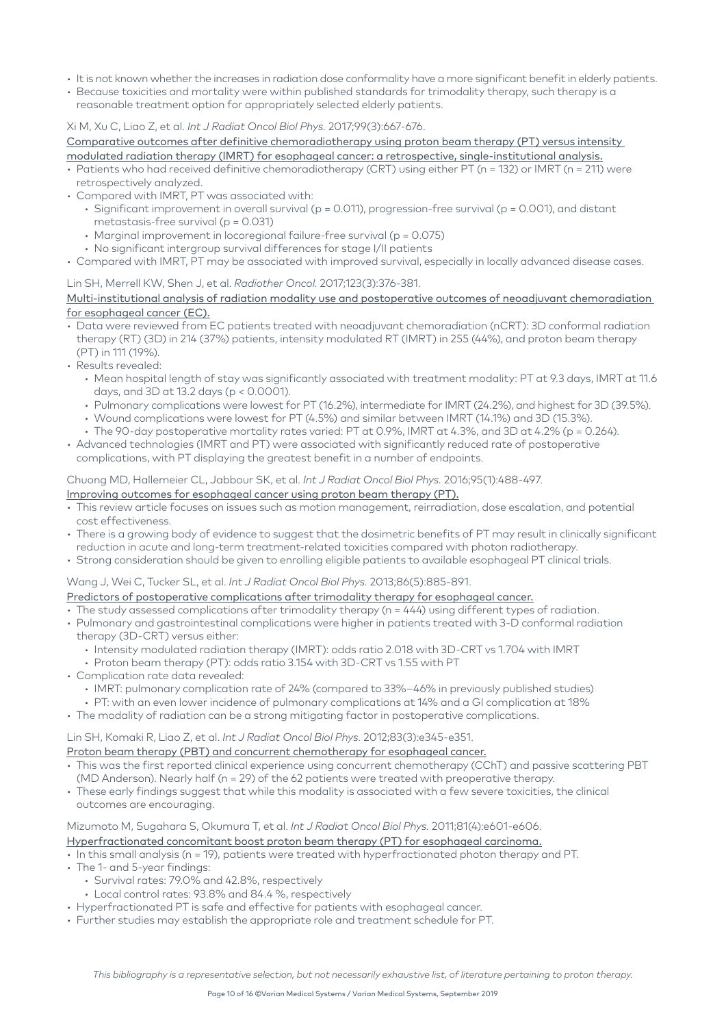- It is not known whether the increases in radiation dose conformality have a more significant benefit in elderly patients.
- Because toxicities and mortality were within published standards for trimodality therapy, such therapy is a reasonable treatment option for appropriately selected elderly patients.

#### Xi M, Xu C, Liao Z, et al. *Int J Radiat Oncol Biol Phys.* 2017;99(3):667-676.

[Comparative outcomes after definitive chemoradiotherapy using proton beam therapy \(PT\) versus intensity](https://reader.elsevier.com/reader/sd/pii/S0360301617335162?token=6A9D644D5988CCBC43BACAA4B3C38971975B183404DDA275E019733A41E56B9AC2691FA99B9D50BB85C6AC4F9851A2ED)  [modulated radiation therapy \(IMRT\) for esophageal cancer: a retrospective, single-institutional analysis.](https://reader.elsevier.com/reader/sd/pii/S0360301617335162?token=6A9D644D5988CCBC43BACAA4B3C38971975B183404DDA275E019733A41E56B9AC2691FA99B9D50BB85C6AC4F9851A2ED)

- Patients who had received definitive chemoradiotherapy (CRT) using either PT (n = 132) or IMRT (n = 211) were retrospectively analyzed.
- Compared with IMRT, PT was associated with:
	- Significant improvement in overall survival (p = 0.011), progression-free survival (p = 0.001), and distant metastasis-free survival (p = 0.031)
	- Marginal improvement in locoregional failure-free survival (p = 0.075)
	- No significant intergroup survival differences for stage I/II patients
- Compared with IMRT, PT may be associated with improved survival, especially in locally advanced disease cases.

#### Lin SH, Merrell KW, Shen J, et al. *Radiother Oncol.* 2017;123(3):376-381.

#### [Multi-institutional analysis of radiation modality use and postoperative outcomes of neoadjuvant chemoradiation](https://www.ncbi.nlm.nih.gov/pubmed/28455153)  [for esophageal cancer \(EC\).](https://www.ncbi.nlm.nih.gov/pubmed/28455153)

- Data were reviewed from EC patients treated with neoadjuvant chemoradiation (nCRT): 3D conformal radiation therapy (RT) (3D) in 214 (37%) patients, intensity modulated RT (IMRT) in 255 (44%), and proton beam therapy (PT) in 111 (19%).
- Results revealed:
	- Mean hospital length of stay was significantly associated with treatment modality: PT at 9.3 days, IMRT at 11.6 days, and 3D at 13.2 days (p < 0.0001).
	- Pulmonary complications were lowest for PT (16.2%), intermediate for IMRT (24.2%), and highest for 3D (39.5%).
	- Wound complications were lowest for PT (4.5%) and similar between IMRT (14.1%) and 3D (15.3%).
	- The 90-day postoperative mortality rates varied: PT at 0.9%, IMRT at 4.3%, and 3D at 4.2% (p = 0.264).
- Advanced technologies (IMRT and PT) were associated with significantly reduced rate of postoperative complications, with PT displaying the greatest benefit in a number of endpoints.

#### Chuong MD, Hallemeier CL, Jabbour SK, et al. *Int J Radiat Oncol Biol Phys.* 2016;95(1):488-497.

#### [Improving outcomes for esophageal cancer using proton beam therapy \(PT\).](https://reader.elsevier.com/reader/sd/pii/S0360301615267910?token=40A472643FCB3E20076F6ED31D3AC0857F41DCCB221D3B687239204C8B090B49741EEC18B4BE2C104DA948CEE3649DE0)

- This review article focuses on issues such as motion management, reirradiation, dose escalation, and potential cost effectiveness.
- There is a growing body of evidence to suggest that the dosimetric benefits of PT may result in clinically significant reduction in acute and long-term treatment-related toxicities compared with photon radiotherapy.
- Strong consideration should be given to enrolling eligible patients to available esophageal PT clinical trials.

#### Wang J, Wei C, Tucker SL, et al. *Int J Radiat Oncol Biol Phys.* 2013;86(5):885-891.

## [Predictors of postoperative complications after trimodality therapy for esophageal cancer.](https://www.ncbi.nlm.nih.gov/pmc/articles/PMC3786201/pdf/nihms467930.pdf#page=1&zoom=auto,-150,158)

- The study assessed complications after trimodality therapy (n = 444) using different types of radiation.
- Pulmonary and gastrointestinal complications were higher in patients treated with 3-D conformal radiation therapy (3D-CRT) versus either:
	- Intensity modulated radiation therapy (IMRT): odds ratio 2.018 with 3D-CRT vs 1.704 with IMRT
	- Proton beam therapy (PT): odds ratio 3.154 with 3D-CRT vs 1.55 with PT
- Complication rate data revealed:
	- IMRT: pulmonary complication rate of 24% (compared to 33%–46% in previously published studies)
	- PT: with an even lower incidence of pulmonary complications at 14% and a GI complication at 18%
- The modality of radiation can be a strong mitigating factor in postoperative complications.

## Lin SH, Komaki R, Liao Z, et al. *Int J Radiat Oncol Biol Phys.* 2012;83(3):e345-e351.

- [Proton beam therapy \(PBT\) and concurrent chemotherapy for esophageal cancer.](https://www.ncbi.nlm.nih.gov/pmc/articles/PMC3923631/pdf/nihms539659.pdf)
- This was the first reported clinical experience using concurrent chemotherapy (CChT) and passive scattering PBT (MD Anderson). Nearly half (n = 29) of the 62 patients were treated with preoperative therapy.
- These early findings suggest that while this modality is associated with a few severe toxicities, the clinical outcomes are encouraging.

## Mizumoto M, Sugahara S, Okumura T, et al. *Int J Radiat Oncol Biol Phys.* 2011;81(4):e601-e606.

#### [Hyperfractionated concomitant boost proton beam therapy \(PT\) for esophageal carcinoma.](https://www.sciencedirect.com/science/article/pii/S0360301611003610)

- In this small analysis (n = 19), patients were treated with hyperfractionated photon therapy and PT.
- The 1- and 5-year findings:
	- Survival rates: 79.0% and 42.8%, respectively
	- Local control rates: 93.8% and 84.4 %, respectively
- Hyperfractionated PT is safe and effective for patients with esophageal cancer.
- Further studies may establish the appropriate role and treatment schedule for PT.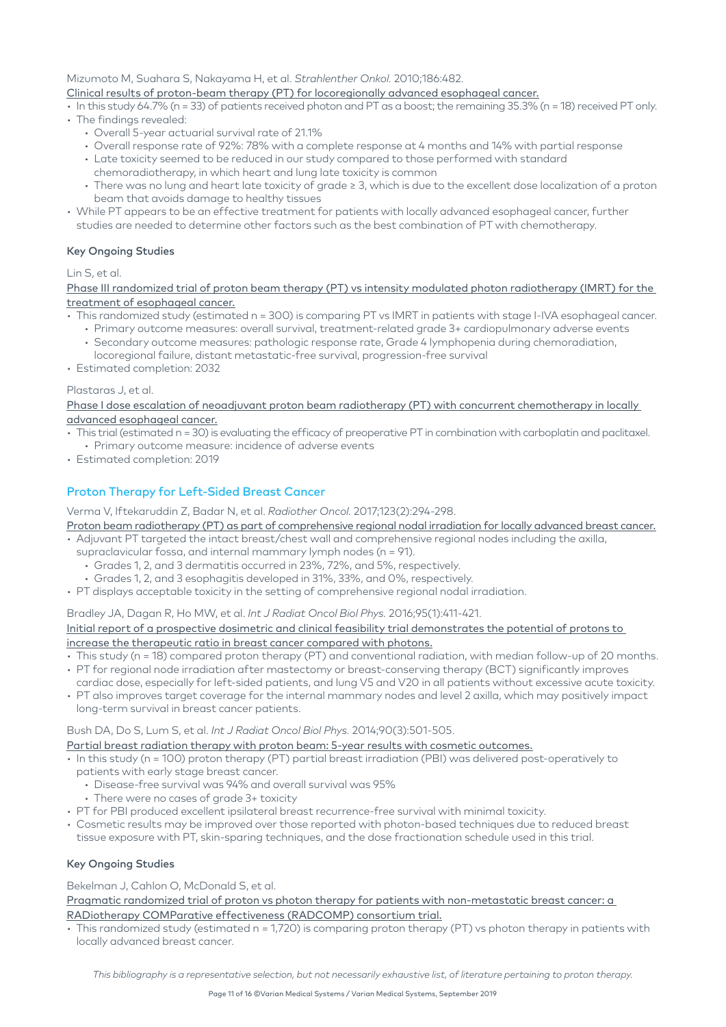Mizumoto M, Suahara S, Nakayama H, et al. *Strahlenther Onkol.* 2010;186:482.

[Clinical results of proton-beam therapy \(PT\) for locoregionally advanced esophageal cancer.](https://link.springer.com/article/10.1007%2Fs00066-010-2079-4)

- In this study 64.7% (n = 33) of patients received photon and PT as a boost; the remaining 35.3% (n = 18) received PT only.
- The findings revealed:
	- Overall 5-year actuarial survival rate of 21.1%
	- Overall response rate of 92%: 78% with a complete response at 4 months and 14% with partial response
	- Late toxicity seemed to be reduced in our study compared to those performed with standard
	- chemoradiotherapy, in which heart and lung late toxicity is common
	- There was no lung and heart late toxicity of grade ≥ 3, which is due to the excellent dose localization of a proton beam that avoids damage to healthy tissues
- While PT appears to be an effective treatment for patients with locally advanced esophageal cancer, further studies are needed to determine other factors such as the best combination of PT with chemotherapy.

#### Key Ongoing Studies

#### Lin S, et al.

[Phase III randomized trial of proton beam therapy \(PT\) vs intensity modulated photon radiotherapy \(IMRT\) for the](https://clinicaltrials.gov/ct2/show/NCT03801876)  [treatment of esophageal cancer.](https://clinicaltrials.gov/ct2/show/NCT03801876)

- This randomized study (estimated n = 300) is comparing PT vs IMRT in patients with stage I-IVA esophageal cancer.
	- Primary outcome measures: overall survival, treatment-related grade 3+ cardiopulmonary adverse events • Secondary outcome measures: pathologic response rate, Grade 4 lymphopenia during chemoradiation,
	- locoregional failure, distant metastatic-free survival, progression-free survival
- Estimated completion: 2032

#### Plastaras J, et al.

Phase I dose escalation of neoadjuvant proton beam radiotherapy (PT) with concurrent chemotherapy in locally [advanced esophageal cancer.](https://clinicaltrials.gov/ct2/show/NCT02213497)

- This trial (estimated n = 30) is evaluating the efficacy of preoperative PT in combination with carboplatin and paclitaxel. • Primary outcome measure: incidence of adverse events
- Estimated completion: 2019

## Proton Therapy for Left-Sided Breast Cancer

Verma V, Iftekaruddin Z, Badar N, et al. *Radiother Oncol.* 2017;123(2):294-298.

[Proton beam radiotherapy \(PT\) as part of comprehensive regional nodal irradiation for locally advanced breast cancer.](https://www.ncbi.nlm.nih.gov/pubmed/28457577)

- Adjuvant PT targeted the intact breast/chest wall and comprehensive regional nodes including the axilla,
	- supraclavicular fossa, and internal mammary lymph nodes (n = 91).
	- Grades 1, 2, and 3 dermatitis occurred in 23%, 72%, and 5%, respectively.
	- Grades 1, 2, and 3 esophagitis developed in 31%, 33%, and 0%, respectively.
- PT displays acceptable toxicity in the setting of comprehensive regional nodal irradiation.

Bradley JA, Dagan R, Ho MW, et al. *Int J Radiat Oncol Biol Phys.* 2016;95(1):411-421. [Initial report of a prospective dosimetric and clinical feasibility trial demonstrates the potential of protons to](https://www.ncbi.nlm.nih.gov/pubmed/26611875)  [increase the therapeutic ratio in breast cancer compared with photons.](https://www.ncbi.nlm.nih.gov/pubmed/26611875)

- This study (n = 18) compared proton therapy (PT) and conventional radiation, with median follow-up of 20 months. • PT for regional node irradiation after mastectomy or breast-conserving therapy (BCT) significantly improves
- cardiac dose, especially for left-sided patients, and lung V5 and V20 in all patients without excessive acute toxicity. • PT also improves target coverage for the internal mammary nodes and level 2 axilla, which may positively impact
- long-term survival in breast cancer patients.

## Bush DA, Do S, Lum S, et al. *Int J Radiat Oncol Biol Phys.* 2014;90(3):501-505.

[Partial breast radiation therapy with proton beam: 5-year results with cosmetic outcomes.](https://www.ncbi.nlm.nih.gov/pubmed/25084608)

- In this study (n = 100) proton therapy (PT) partial breast irradiation (PBI) was delivered post-operatively to
	- patients with early stage breast cancer.
		- Disease-free survival was 94% and overall survival was 95%
	- There were no cases of grade 3+ toxicity
- PT for PBI produced excellent ipsilateral breast recurrence-free survival with minimal toxicity.
- Cosmetic results may be improved over those reported with photon-based techniques due to reduced breast tissue exposure with PT, skin-sparing techniques, and the dose fractionation schedule used in this trial.

#### Key Ongoing Studies

Bekelman J, Cahlon O, McDonald S, et al.

[Pragmatic randomized trial of proton vs photon therapy for patients with non-metastatic breast cancer: a](https://clinicaltrials.gov/ct2/show/NCT02603341)  [RADiotherapy COMParative effectiveness \(RADCOMP\) consortium trial.](https://clinicaltrials.gov/ct2/show/NCT02603341)

• This randomized study (estimated n = 1,720) is comparing proton therapy (PT) vs photon therapy in patients with locally advanced breast cancer.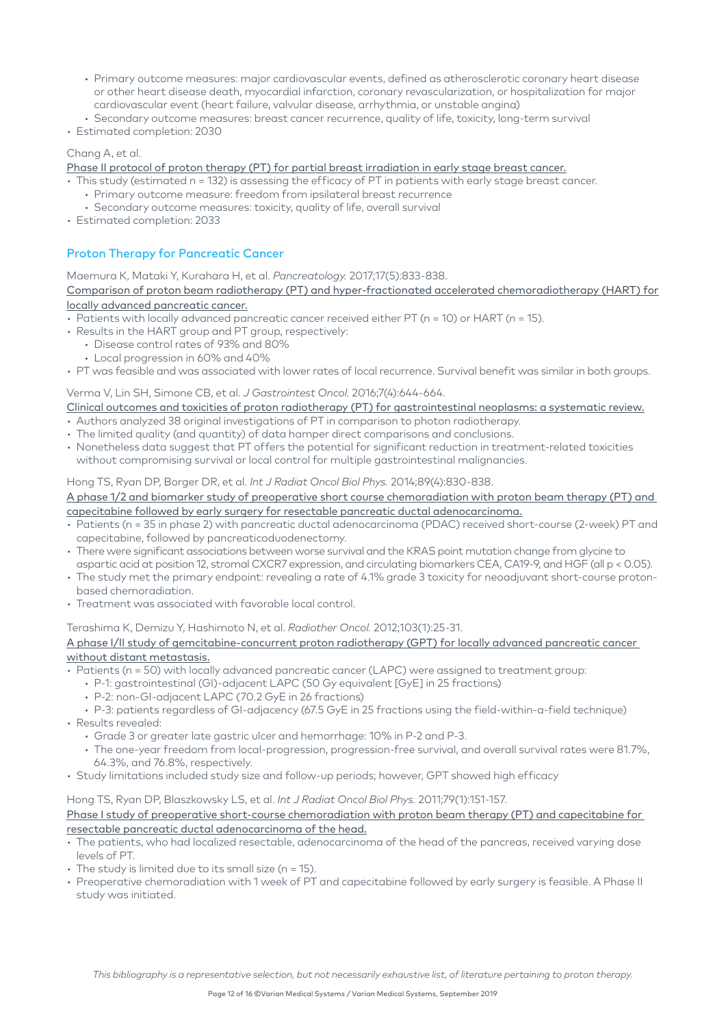- Primary outcome measures: major cardiovascular events, defined as atherosclerotic coronary heart disease or other heart disease death, myocardial infarction, coronary revascularization, or hospitalization for major cardiovascular event (heart failure, valvular disease, arrhythmia, or unstable angina)
- Secondary outcome measures: breast cancer recurrence, quality of life, toxicity, long-term survival
- Estimated completion: 2030

#### Chang A, et al.

## [Phase II protocol of proton therapy \(PT\) for partial breast irradiation in early stage breast cancer.](https://clinicaltrials.gov/ct2/show/NCT01766297)

- This study (estimated n = 132) is assessing the efficacy of PT in patients with early stage breast cancer.
	- Primary outcome measure: freedom from ipsilateral breast recurrence
	- Secondary outcome measures: toxicity, quality of life, overall survival
- Estimated completion: 2033

## Proton Therapy for Pancreatic Cancer

#### Maemura K, Mataki Y, Kurahara H, et al. *Pancreatology.* 2017;17(5):833-838.

#### [Comparison of proton beam radiotherapy \(PT\) and hyper-fractionated accelerated chemoradiotherapy \(HART\) for](https://www.ncbi.nlm.nih.gov/pubmed/28778480)  [locally advanced pancreatic cancer.](https://www.ncbi.nlm.nih.gov/pubmed/28778480)

- Patients with locally advanced pancreatic cancer received either PT (n = 10) or HART (n = 15).
- Results in the HART group and PT group, respectively:
	- Disease control rates of 93% and 80%
	- Local progression in 60% and 40%
- PT was feasible and was associated with lower rates of local recurrence. Survival benefit was similar in both groups.

## Verma V, Lin SH, Simone CB, et al. *J Gastrointest Oncol.* 2016;7(4):644-664.

- [Clinical outcomes and toxicities of proton radiotherapy \(PT\) for gastrointestinal neoplasms: a systematic review.](https://www.ncbi.nlm.nih.gov/pubmed/27563457)
- Authors analyzed 38 original investigations of PT in comparison to photon radiotherapy.
- The limited quality (and quantity) of data hamper direct comparisons and conclusions.
- Nonetheless data suggest that PT offers the potential for significant reduction in treatment-related toxicities without compromising survival or local control for multiple gastrointestinal malignancies.

#### Hong TS, Ryan DP, Borger DR, et al. *Int J Radiat Oncol Biol Phys.* 2014;89(4):830-838.

#### [A phase 1/2 and biomarker study of preoperative short course chemoradiation with proton beam therapy \(PT\) and](https://www.ncbi.nlm.nih.gov/pubmed/24867540)  [capecitabine followed by early surgery for resectable pancreatic ductal adenocarcinoma.](https://www.ncbi.nlm.nih.gov/pubmed/24867540)

- Patients (n = 35 in phase 2) with pancreatic ductal adenocarcinoma (PDAC) received short-course (2-week) PT and capecitabine, followed by pancreaticoduodenectomy.
- There were significant associations between worse survival and the KRAS point mutation change from glycine to aspartic acid at position 12, stromal CXCR7 expression, and circulating biomarkers CEA, CA19-9, and HGF (all p < 0.05).
- The study met the primary endpoint: revealing a rate of 4.1% grade 3 toxicity for neoadjuvant short-course protonbased chemoradiation.
- Treatment was associated with favorable local control.

#### Terashima K, Demizu Y, Hashimoto N, et al. *Radiother Oncol.* 2012;103(1):25-31.

#### [A phase I/II study of gemcitabine-concurrent proton radiotherapy \(GPT\) for locally advanced pancreatic cancer](https://www.ncbi.nlm.nih.gov/pubmed/22300608)  [without distant metastasis.](https://www.ncbi.nlm.nih.gov/pubmed/22300608)

- Patients (n = 50) with locally advanced pancreatic cancer (LAPC) were assigned to treatment group:
	- P-1: gastrointestinal (GI)-adjacent LAPC (50 Gy equivalent [GyE] in 25 fractions)
	- P-2: non-GI-adjacent LAPC (70.2 GyE in 26 fractions)

#### • P-3: patients regardless of GI-adjacency (67.5 GyE in 25 fractions using the field-within-a-field technique)

- Results revealed:
	- Grade 3 or greater late gastric ulcer and hemorrhage: 10% in P-2 and P-3.
	- The one-year freedom from local-progression, progression-free survival, and overall survival rates were 81.7%, 64.3%, and 76.8%, respectively.
- Study limitations included study size and follow-up periods; however, GPT showed high efficacy

#### Hong TS, Ryan DP, Blaszkowsky LS, et al. *Int J Radiat Oncol Biol Phys.* 2011;79(1):151-157.

#### [Phase I study of preoperative short-course chemoradiation with proton beam therapy \(PT\) and capecitabine for](https://www.redjournal.org/article/S0360-3016(09)03542-1/abstract)  [resectable pancreatic ductal adenocarcinoma of the head.](https://www.redjournal.org/article/S0360-3016(09)03542-1/abstract)

- The patients, who had localized resectable, adenocarcinoma of the head of the pancreas, received varying dose levels of PT.
- The study is limited due to its small size (n = 15).
- Preoperative chemoradiation with 1 week of PT and capecitabine followed by early surgery is feasible. A Phase II study was initiated.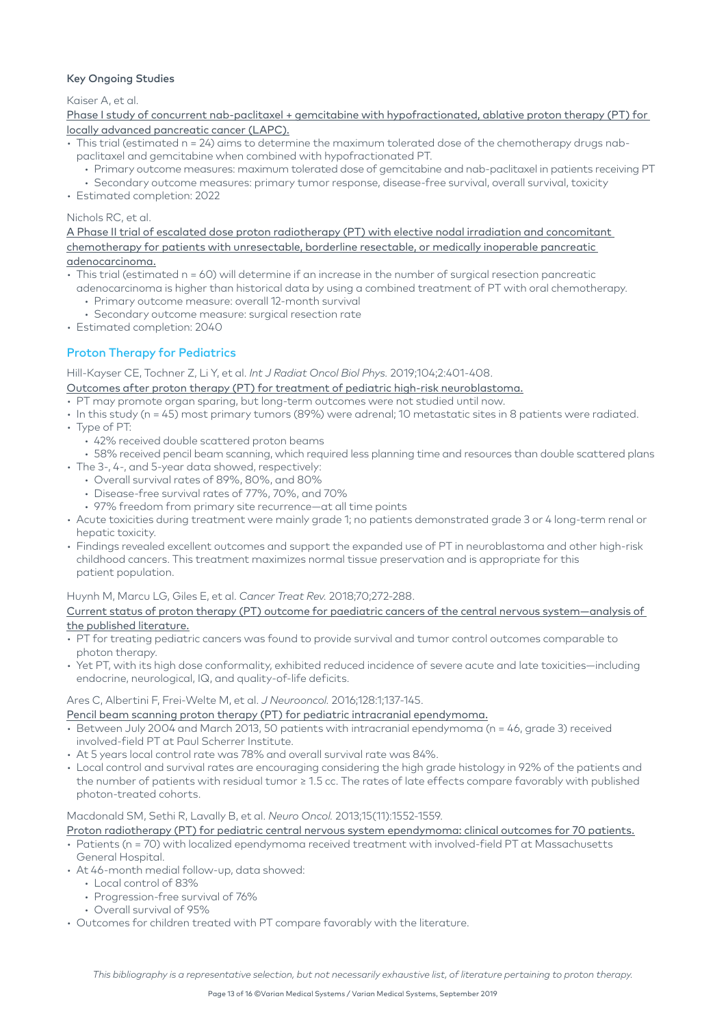#### Key Ongoing Studies

Kaiser A, et al.

[Phase I study of concurrent nab-paclitaxel + gemcitabine with hypofractionated, ablative proton therapy \(PT\) for](https://clinicaltrials.gov/ct2/show/NCT03652428)  [locally advanced pancreatic cancer \(LAPC\).](https://clinicaltrials.gov/ct2/show/NCT03652428)

- This trial (estimated n = 24) aims to determine the maximum tolerated dose of the chemotherapy drugs nabpaclitaxel and gemcitabine when combined with hypofractionated PT.
	- Primary outcome measures: maximum tolerated dose of gemcitabine and nab-paclitaxel in patients receiving PT
	- Secondary outcome measures: primary tumor response, disease-free survival, overall survival, toxicity
- Estimated completion: 2022

#### Nichols RC, et al.

[A Phase II trial of escalated dose proton radiotherapy \(PT\) with elective nodal irradiation and concomitant](https://clinicaltrials.gov/ct2/show/NCT02598349)  [chemotherapy for patients with unresectable, borderline resectable, or medically inoperable pancreatic](https://clinicaltrials.gov/ct2/show/NCT02598349)  [adenocarcinoma.](https://clinicaltrials.gov/ct2/show/NCT02598349)

- This trial (estimated n = 60) will determine if an increase in the number of surgical resection pancreatic adenocarcinoma is higher than historical data by using a combined treatment of PT with oral chemotherapy.
	- Primary outcome measure: overall 12-month survival
	- Secondary outcome measure: surgical resection rate
- Estimated completion: 2040

## Proton Therapy for Pediatrics

Hill-Kayser CE, Tochner Z, Li Y, et al. *Int J Radiat Oncol Biol Phys.* 2019;104;2:401-408.

[Outcomes after proton therapy \(PT\) for treatment of pediatric high-risk neuroblastoma.](https://www.redjournal.org/article/S0360-3016(19)30190-7/fulltext)

- PT may promote organ sparing, but long-term outcomes were not studied until now.
- In this study (n = 45) most primary tumors (89%) were adrenal; 10 metastatic sites in 8 patients were radiated. • Type of PT:
- - 42% received double scattered proton beams
	- 58% received pencil beam scanning, which required less planning time and resources than double scattered plans
- The 3-, 4-, and 5-year data showed, respectively:
	- Overall survival rates of 89%, 80%, and 80%
	- Disease-free survival rates of 77%, 70%, and 70%
	- 97% freedom from primary site recurrence—at all time points
- Acute toxicities during treatment were mainly grade 1; no patients demonstrated grade 3 or 4 long-term renal or hepatic toxicity.
- Findings revealed excellent outcomes and support the expanded use of PT in neuroblastoma and other high-risk childhood cancers. This treatment maximizes normal tissue preservation and is appropriate for this patient population.

#### Huynh M, Marcu LG, Giles E, et al. *Cancer Treat Rev.* 2018;70;272-288.

#### [Current status of proton therapy \(PT\) outcome for paediatric cancers of the central nervous system—analysis of](https://www.sciencedirect.com/science/article/pii/S0305737218301658?via%3Dihub)  [the published literature.](https://www.sciencedirect.com/science/article/pii/S0305737218301658?via%3Dihub)

- PT for treating pediatric cancers was found to provide survival and tumor control outcomes comparable to photon therapy.
- Yet PT, with its high dose conformality, exhibited reduced incidence of severe acute and late toxicities—including endocrine, neurological, IQ, and quality-of-life deficits.

#### Ares C, Albertini F, Frei-Welte M, et al. *J Neurooncol.* 2016;128:1;137-145.

[Pencil beam scanning proton therapy \(PT\) for pediatric intracranial ependymoma.](https://link.springer.com/article/10.1007/s11060-016-2090-4)

- Between July 2004 and March 2013, 50 patients with intracranial ependymoma (n = 46, grade 3) received involved-field PT at Paul Scherrer Institute.
- At 5 years local control rate was 78% and overall survival rate was 84%.
- Local control and survival rates are encouraging considering the high grade histology in 92% of the patients and the number of patients with residual tumor ≥ 1.5 cc. The rates of late effects compare favorably with published photon-treated cohorts.

#### Macdonald SM, Sethi R, Lavally B, et al. *Neuro Oncol.* 2013;15(11):1552-1559.

- [Proton radiotherapy \(PT\) for pediatric central nervous system ependymoma: clinical outcomes for 70 patients.](https://www.ncbi.nlm.nih.gov/pubmed/24101739)
- Patients (n = 70) with localized ependymoma received treatment with involved-field PT at Massachusetts
- General Hospital.
- At 46-month medial follow-up, data showed:
	- Local control of 83%
	- Progression-free survival of 76%
	- Overall survival of 95%
- Outcomes for children treated with PT compare favorably with the literature.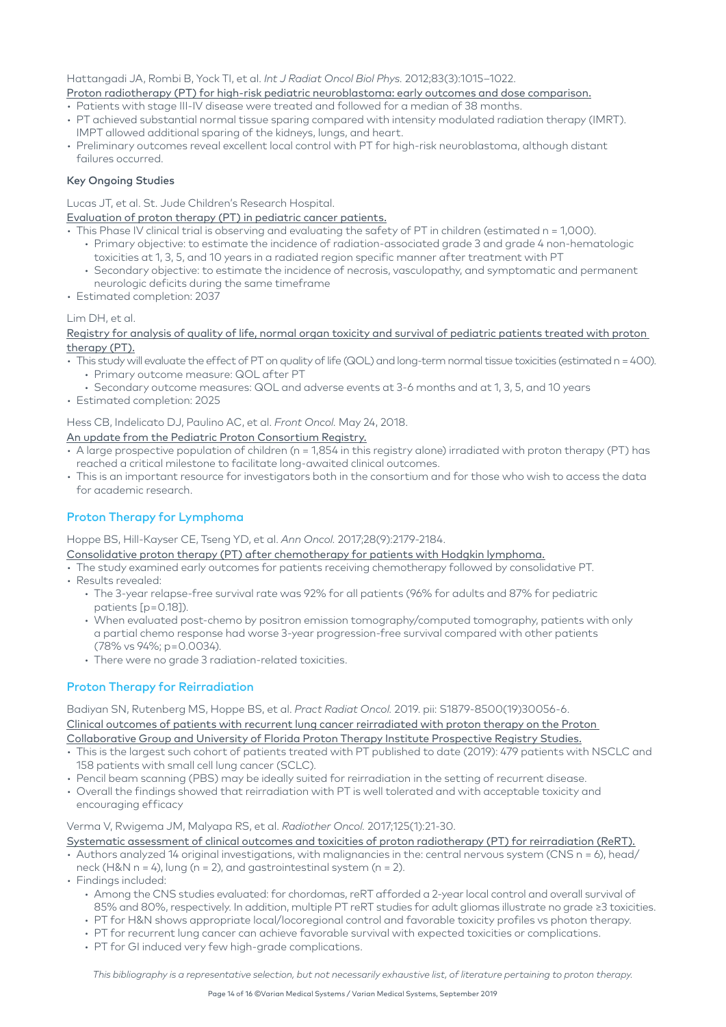#### Hattangadi JA, Rombi B, Yock TI, et al. *Int J Radiat Oncol Biol Phys.* 2012;83(3):1015–1022.

## [Proton radiotherapy \(PT\) for high-risk pediatric neuroblastoma: early outcomes and dose comparison.](https://www.redjournal.org/article/S0360-3016(11)03195-6/pdf)

- Patients with stage III-IV disease were treated and followed for a median of 38 months.
- PT achieved substantial normal tissue sparing compared with intensity modulated radiation therapy (IMRT). IMPT allowed additional sparing of the kidneys, lungs, and heart.
- Preliminary outcomes reveal excellent local control with PT for high-risk neuroblastoma, although distant failures occurred.

#### Key Ongoing Studies

Lucas JT, et al. St. Jude Children's Research Hospital.

[Evaluation of proton therapy \(PT\) in pediatric cancer patients.](https://clinicaltrials.gov/ct2/show/NCT03223766?term=%22proton+Therapy%22&cond=Pediatric+Cancer&rank=3)

- This Phase IV clinical trial is observing and evaluating the safety of PT in children (estimated n = 1,000).
	- Primary objective: to estimate the incidence of radiation-associated grade 3 and grade 4 non-hematologic toxicities at 1, 3, 5, and 10 years in a radiated region specific manner after treatment with PT
	- Secondary objective: to estimate the incidence of necrosis, vasculopathy, and symptomatic and permanent neurologic deficits during the same timeframe
- Estimated completion: 2037

#### Lim DH, et al.

[Registry for analysis of quality of life, normal organ toxicity and survival of pediatric patients treated with proton](https://clinicaltrials.gov/ct2/show/NCT02644993?term=%22proton+Therapy%22&cond=Pediatric+Cancer&rank=2)  [therapy \(PT\).](https://clinicaltrials.gov/ct2/show/NCT02644993?term=%22proton+Therapy%22&cond=Pediatric+Cancer&rank=2)

- This study will evaluate the effect of PT on quality of life (QOL) and long-term normal tissue toxicities (estimated n = 400). • Primary outcome measure: QOL after PT
- Secondary outcome measures: QOL and adverse events at 3-6 months and at 1, 3, 5, and 10 years
- Estimated completion: 2025

## Hess CB, Indelicato DJ, Paulino AC, et al. *Front Oncol.* May 24, 2018.

#### [An update from the Pediatric Proton Consortium Registry.](https://www.frontiersin.org/articles/10.3389/fonc.2018.00165/full)

- A large prospective population of children (n = 1,854 in this registry alone) irradiated with proton therapy (PT) has reached a critical milestone to facilitate long-awaited clinical outcomes.
- This is an important resource for investigators both in the consortium and for those who wish to access the data for academic research.

## Proton Therapy for Lymphoma

Hoppe BS, Hill-Kayser CE, Tseng YD, et al. *Ann Oncol.* 2017;28(9):2179-2184.

- [Consolidative proton therapy \(PT\) after chemotherapy for patients with Hodgkin lymphoma.](https://www.ncbi.nlm.nih.gov/pubmed/28911093)
- The study examined early outcomes for patients receiving chemotherapy followed by consolidative PT.
- Results revealed:
	- The 3-year relapse-free survival rate was 92% for all patients (96% for adults and 87% for pediatric patients [p=0.18]).
	- When evaluated post-chemo by positron emission tomography/computed tomography, patients with only a partial chemo response had worse 3-year progression-free survival compared with other patients (78% vs 94%; p = 0.0034).
	- There were no grade 3 radiation-related toxicities.

## Proton Therapy for Reirradiation

Badiyan SN, Rutenberg MS, Hoppe BS, et al. *Pract Radiat Oncol.* 2019. pii: S1879-8500(19)30056-6. [Clinical outcomes of patients with recurrent lung cancer reirradiated with proton therapy on the Proton](https://www.ncbi.nlm.nih.gov/pubmed/30802618)  [Collaborative Group and University of Florida Proton Therapy Institute Prospective Registry Studies.](https://www.ncbi.nlm.nih.gov/pubmed/30802618)

- This is the largest such cohort of patients treated with PT published to date (2019): 479 patients with NSCLC and 158 patients with small cell lung cancer (SCLC).
- Pencil beam scanning (PBS) may be ideally suited for reirradiation in the setting of recurrent disease.
- Overall the findings showed that reirradiation with PT is well tolerated and with acceptable toxicity and encouraging efficacy

#### Verma V, Rwigema JM, Malyapa RS, et al. *Radiother Oncol.* 2017;125(1):21-30.

[Systematic assessment of clinical outcomes and toxicities of proton radiotherapy \(PT\) for reirradiation \(ReRT\).](https://reader.elsevier.com/reader/sd/pii/S0167814017325124?token=DE01E8B3F757D9D573E22807D8F582A509FBB7D43C963606108D811814BC3693B01C5C950BAF9D0023EC54133ABCCDC0)

• Authors analyzed 14 original investigations, with malignancies in the: central nervous system (CNS n = 6), head/ neck (H&N n = 4), lung (n = 2), and gastrointestinal system (n = 2).

- Findings included:
	- Among the CNS studies evaluated: for chordomas, reRT afforded a 2-year local control and overall survival of 85% and 80%, respectively. In addition, multiple PT reRT studies for adult gliomas illustrate no grade ≥3 toxicities.
	- PT for H&N shows appropriate local/locoregional control and favorable toxicity profiles vs photon therapy.
	- PT for recurrent lung cancer can achieve favorable survival with expected toxicities or complications.
	- PT for GI induced very few high-grade complications.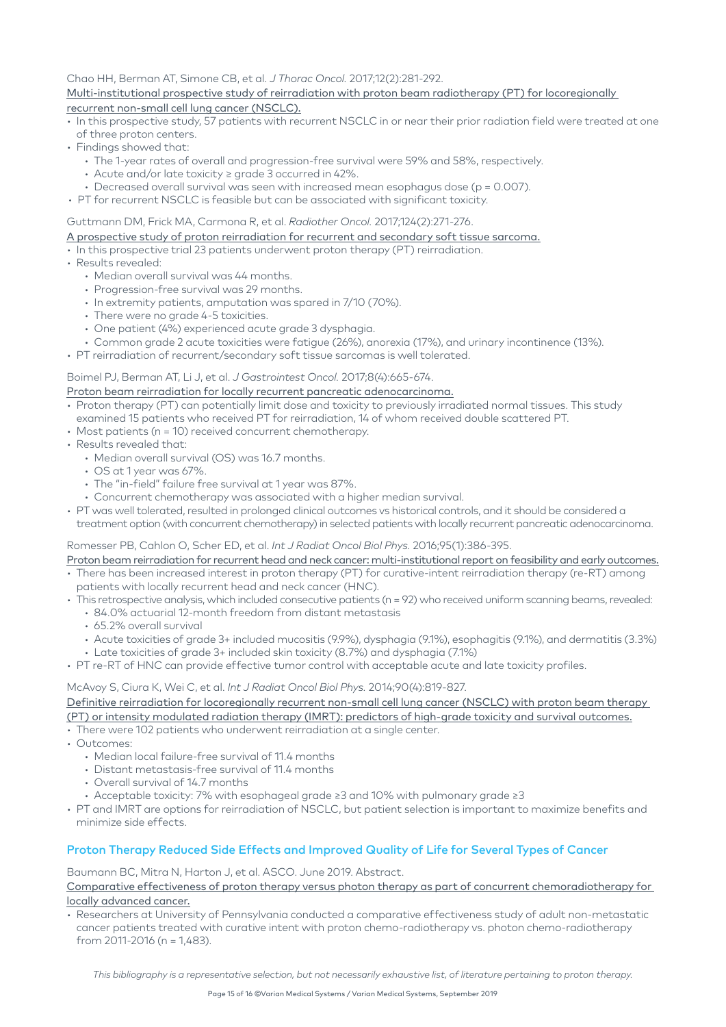#### Chao HH, Berman AT, Simone CB, et al. *J Thorac Oncol.* 2017;12(2):281-292. [Multi-institutional prospective study of reirradiation with proton beam radiotherapy \(PT\) for locoregionally](https://www.ncbi.nlm.nih.gov/pubmed/27826034)  [recurrent non-small cell lung cancer \(NSCLC\).](https://www.ncbi.nlm.nih.gov/pubmed/27826034)

- In this prospective study, 57 patients with recurrent NSCLC in or near their prior radiation field were treated at one of three proton centers.
- Findings showed that:
	- The 1-year rates of overall and progression-free survival were 59% and 58%, respectively.
	- Acute and/or late toxicity ≥ grade 3 occurred in 42%.
	- Decreased overall survival was seen with increased mean esophagus dose (p = 0.007).
- PT for recurrent NSCLC is feasible but can be associated with significant toxicity.

#### Guttmann DM, Frick MA, Carmona R, et al. *Radiother Oncol.* 2017;124(2):271-276.

#### [A prospective study of proton reirradiation for recurrent and secondary soft tissue sarcoma.](https://www.ncbi.nlm.nih.gov/pubmed/28697854)

- In this prospective trial 23 patients underwent proton therapy (PT) reirradiation.
- Results revealed:
	- Median overall survival was 44 months.
	- Progression-free survival was 29 months.
	- In extremity patients, amputation was spared in 7/10 (70%).
	- There were no grade 4-5 toxicities.
	- One patient (4%) experienced acute grade 3 dysphagia.
	- Common grade 2 acute toxicities were fatigue (26%), anorexia (17%), and urinary incontinence (13%).
- PT reirradiation of recurrent/secondary soft tissue sarcomas is well tolerated.

#### Boimel PJ, Berman AT, Li J, et al. *J Gastrointest Oncol.* 2017;8(4):665-674.

## [Proton beam reirradiation for locally recurrent pancreatic adenocarcinoma.](https://www.ncbi.nlm.nih.gov/pmc/articles/PMC5582048/)

- Proton therapy (PT) can potentially limit dose and toxicity to previously irradiated normal tissues. This study examined 15 patients who received PT for reirradiation, 14 of whom received double scattered PT.
- Most patients (n = 10) received concurrent chemotherapy.
- Results revealed that:
	- Median overall survival (OS) was 16.7 months.
	- OS at 1 year was 67%.
	- The "in-field" failure free survival at 1 year was 87%.
	- Concurrent chemotherapy was associated with a higher median survival.
- PT was well tolerated, resulted in prolonged clinical outcomes vs historical controls, and it should be considered a treatment option (with concurrent chemotherapy) in selected patients with locally recurrent pancreatic adenocarcinoma.

#### Romesser PB, Cahlon O, Scher ED, et al. *Int J Radiat Oncol Biol Phys.* 2016;95(1):386-395.

- [Proton beam reirradiation for recurrent head and neck cancer: multi-institutional report on feasibility and early outcomes.](https://www.ncbi.nlm.nih.gov/pubmed/27084656) • There has been increased interest in proton therapy (PT) for curative-intent reirradiation therapy (re-RT) among
- patients with locally recurrent head and neck cancer (HNC).
- This retrospective analysis, which included consecutive patients (n = 92) who received uniform scanning beams, revealed: • 84.0% actuarial 12-month freedom from distant metastasis
	-
	- 65.2% overall survival
	- Acute toxicities of grade 3+ included mucositis (9.9%), dysphagia (9.1%), esophagitis (9.1%), and dermatitis (3.3%)
	- Late toxicities of grade 3+ included skin toxicity (8.7%) and dysphagia (7.1%)
- PT re-RT of HNC can provide effective tumor control with acceptable acute and late toxicity profiles.

#### McAvoy S, Ciura K, Wei C, et al. *Int J Radiat Oncol Biol Phys.* 2014;90(4):819-827.

[Definitive reirradiation for locoregionally recurrent non-small cell lung cancer \(NSCLC\) with proton beam therapy](https://www.ncbi.nlm.nih.gov/pubmed/25220718)  [\(PT\) or intensity modulated radiation therapy \(IMRT\): predictors of high-grade toxicity and survival outcomes.](https://www.ncbi.nlm.nih.gov/pubmed/25220718)

- There were 102 patients who underwent reirradiation at a single center.
- Outcomes:
	- Median local failure-free survival of 11.4 months
	- Distant metastasis-free survival of 11.4 months
	- Overall survival of 14.7 months
	- Acceptable toxicity: 7% with esophageal grade ≥3 and 10% with pulmonary grade ≥3
- PT and IMRT are options for reirradiation of NSCLC, but patient selection is important to maximize benefits and minimize side effects.

#### Proton Therapy Reduced Side Effects and Improved Quality of Life for Several Types of Cancer

Baumann BC, Mitra N, Harton J, et al. ASCO. June 2019. Abstract.

#### [Comparative effectiveness of proton therapy versus photon therapy as part of concurrent chemoradiotherapy for](https://meetinglibrary.asco.org/record/172282/abstract)  [locally advanced cancer.](https://meetinglibrary.asco.org/record/172282/abstract)

• Researchers at University of Pennsylvania conducted a comparative effectiveness study of adult non-metastatic cancer patients treated with curative intent with proton chemo-radiotherapy vs. photon chemo-radiotherapy from 2011-2016 (n = 1,483).